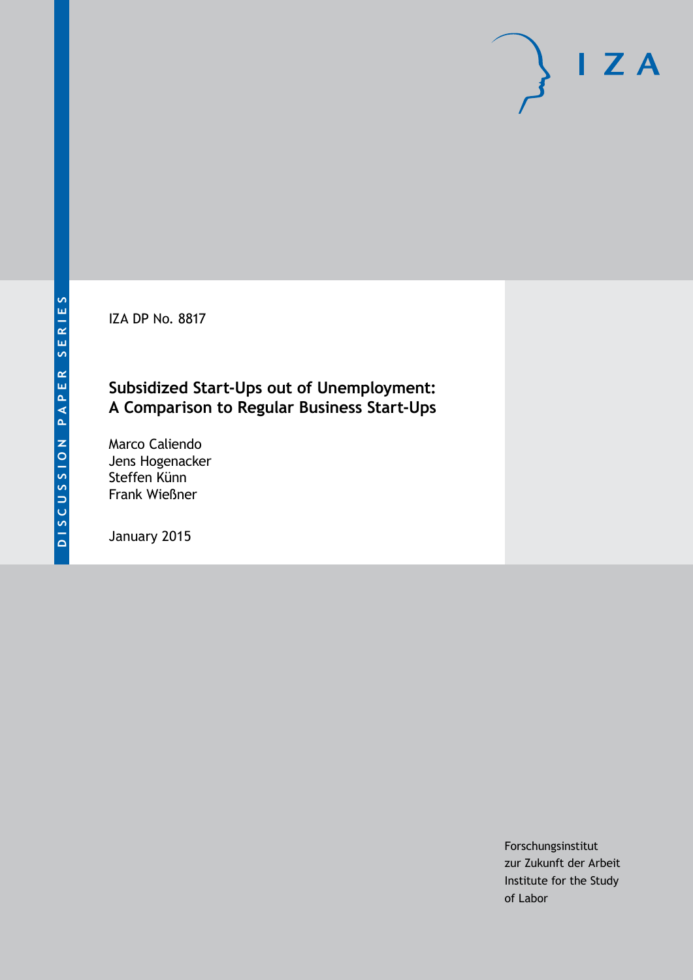**DISCUSSION PAPER SERIES**

DISCUSSION PAPER SERIES

IZA DP No. 8817

## **Subsidized Start-Ups out of Unemployment: A Comparison to Regular Business Start-Ups**

Marco Caliendo Jens Hogenacker Steffen Künn Frank Wießner

January 2015

Forschungsinstitut zur Zukunft der Arbeit Institute for the Study of Labor

 $I Z A$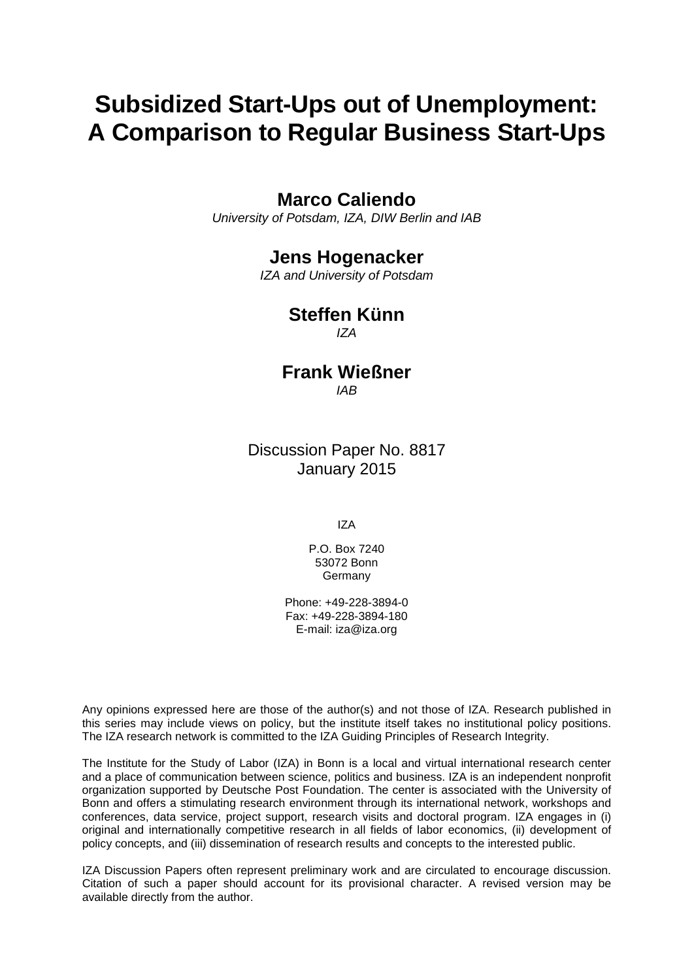# **Subsidized Start-Ups out of Unemployment: A Comparison to Regular Business Start-Ups**

## **Marco Caliendo**

*University of Potsdam, IZA, DIW Berlin and IAB*

## **Jens Hogenacker**

*IZA and University of Potsdam*

## **Steffen Künn**

*IZA*

## **Frank Wießner** *IAB*

Discussion Paper No. 8817 January 2015

IZA

P.O. Box 7240 53072 Bonn Germany

Phone: +49-228-3894-0 Fax: +49-228-3894-180 E-mail: [iza@iza.org](mailto:iza@iza.org)

Any opinions expressed here are those of the author(s) and not those of IZA. Research published in this series may include views on policy, but the institute itself takes no institutional policy positions. The IZA research network is committed to the IZA Guiding Principles of Research Integrity.

The Institute for the Study of Labor (IZA) in Bonn is a local and virtual international research center and a place of communication between science, politics and business. IZA is an independent nonprofit organization supported by Deutsche Post Foundation. The center is associated with the University of Bonn and offers a stimulating research environment through its international network, workshops and conferences, data service, project support, research visits and doctoral program. IZA engages in (i) original and internationally competitive research in all fields of labor economics, (ii) development of policy concepts, and (iii) dissemination of research results and concepts to the interested public.

<span id="page-1-0"></span>IZA Discussion Papers often represent preliminary work and are circulated to encourage discussion. Citation of such a paper should account for its provisional character. A revised version may be available directly from the author.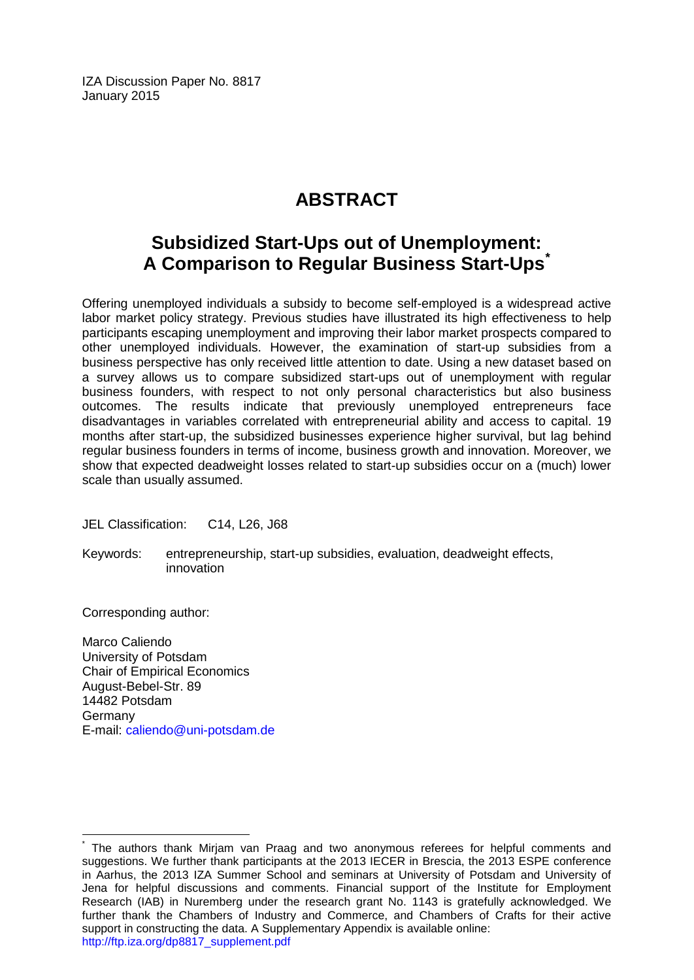IZA Discussion Paper No. 8817 January 2015

## **ABSTRACT**

## **Subsidized Start-Ups out of Unemployment: A Comparison to Regular Business Start-Ups[\\*](#page-1-0)**

Offering unemployed individuals a subsidy to become self-employed is a widespread active labor market policy strategy. Previous studies have illustrated its high effectiveness to help participants escaping unemployment and improving their labor market prospects compared to other unemployed individuals. However, the examination of start-up subsidies from a business perspective has only received little attention to date. Using a new dataset based on a survey allows us to compare subsidized start-ups out of unemployment with regular business founders, with respect to not only personal characteristics but also business outcomes. The results indicate that previously unemployed entrepreneurs face disadvantages in variables correlated with entrepreneurial ability and access to capital. 19 months after start-up, the subsidized businesses experience higher survival, but lag behind regular business founders in terms of income, business growth and innovation. Moreover, we show that expected deadweight losses related to start-up subsidies occur on a (much) lower scale than usually assumed.

JEL Classification: C14, L26, J68

Keywords: entrepreneurship, start-up subsidies, evaluation, deadweight effects, innovation

Corresponding author:

Marco Caliendo University of Potsdam Chair of Empirical Economics August-Bebel-Str. 89 14482 Potsdam Germany E-mail: [caliendo@uni-potsdam.de](mailto:caliendo@uni-potsdam.de)

The authors thank Mirjam van Praag and two anonymous referees for helpful comments and suggestions. We further thank participants at the 2013 IECER in Brescia, the 2013 ESPE conference in Aarhus, the 2013 IZA Summer School and seminars at University of Potsdam and University of Jena for helpful discussions and comments. Financial support of the Institute for Employment Research (IAB) in Nuremberg under the research grant No. 1143 is gratefully acknowledged. We further thank the Chambers of Industry and Commerce, and Chambers of Crafts for their active support in constructing the data. A Supplementary Appendix is available online: [http://ftp.iza.org/dp8817\\_supplement.pdf](http://ftp.iza.org/dp8817_supplement.pdf)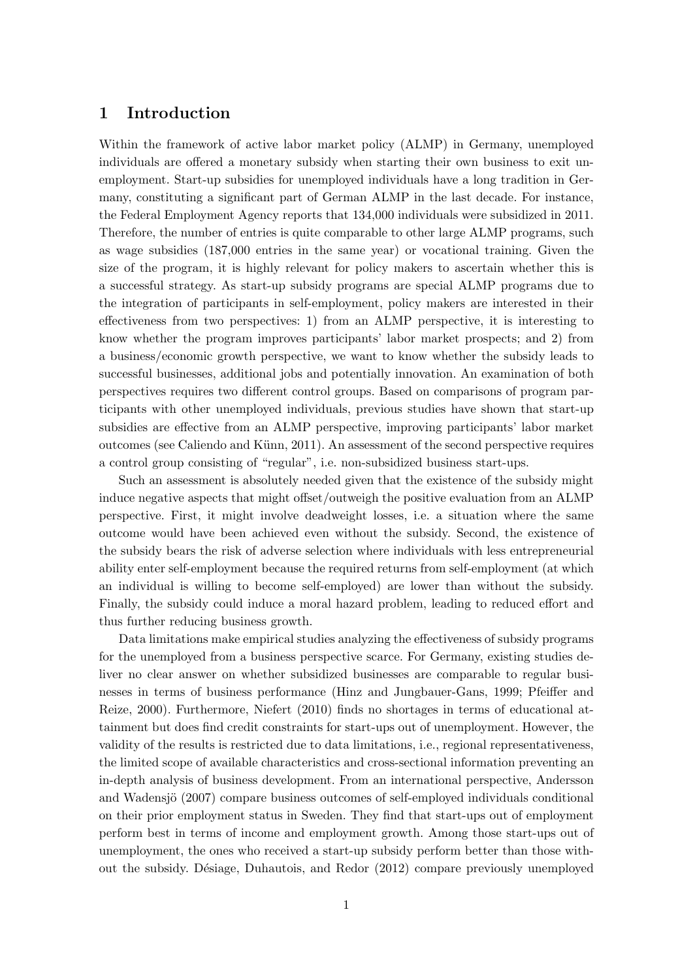### 1 Introduction

Within the framework of active labor market policy (ALMP) in Germany, unemployed individuals are offered a monetary subsidy when starting their own business to exit unemployment. Start-up subsidies for unemployed individuals have a long tradition in Germany, constituting a significant part of German ALMP in the last decade. For instance, the Federal Employment Agency reports that 134,000 individuals were subsidized in 2011. Therefore, the number of entries is quite comparable to other large ALMP programs, such as wage subsidies (187,000 entries in the same year) or vocational training. Given the size of the program, it is highly relevant for policy makers to ascertain whether this is a successful strategy. As start-up subsidy programs are special ALMP programs due to the integration of participants in self-employment, policy makers are interested in their effectiveness from two perspectives: 1) from an ALMP perspective, it is interesting to know whether the program improves participants' labor market prospects; and 2) from a business/economic growth perspective, we want to know whether the subsidy leads to successful businesses, additional jobs and potentially innovation. An examination of both perspectives requires two different control groups. Based on comparisons of program participants with other unemployed individuals, previous studies have shown that start-up subsidies are effective from an ALMP perspective, improving participants' labor market outcomes (see Caliendo and Künn, 2011). An assessment of the second perspective requires a control group consisting of "regular", i.e. non-subsidized business start-ups.

Such an assessment is absolutely needed given that the existence of the subsidy might induce negative aspects that might offset/outweigh the positive evaluation from an ALMP perspective. First, it might involve deadweight losses, i.e. a situation where the same outcome would have been achieved even without the subsidy. Second, the existence of the subsidy bears the risk of adverse selection where individuals with less entrepreneurial ability enter self-employment because the required returns from self-employment (at which an individual is willing to become self-employed) are lower than without the subsidy. Finally, the subsidy could induce a moral hazard problem, leading to reduced effort and thus further reducing business growth.

Data limitations make empirical studies analyzing the effectiveness of subsidy programs for the unemployed from a business perspective scarce. For Germany, existing studies deliver no clear answer on whether subsidized businesses are comparable to regular businesses in terms of business performance (Hinz and Jungbauer-Gans, 1999; Pfeiffer and Reize, 2000). Furthermore, Niefert (2010) finds no shortages in terms of educational attainment but does find credit constraints for start-ups out of unemployment. However, the validity of the results is restricted due to data limitations, i.e., regional representativeness, the limited scope of available characteristics and cross-sectional information preventing an in-depth analysis of business development. From an international perspective, Andersson and Wadensjö (2007) compare business outcomes of self-employed individuals conditional on their prior employment status in Sweden. They find that start-ups out of employment perform best in terms of income and employment growth. Among those start-ups out of unemployment, the ones who received a start-up subsidy perform better than those without the subsidy. Désiage, Duhautois, and Redor (2012) compare previously unemployed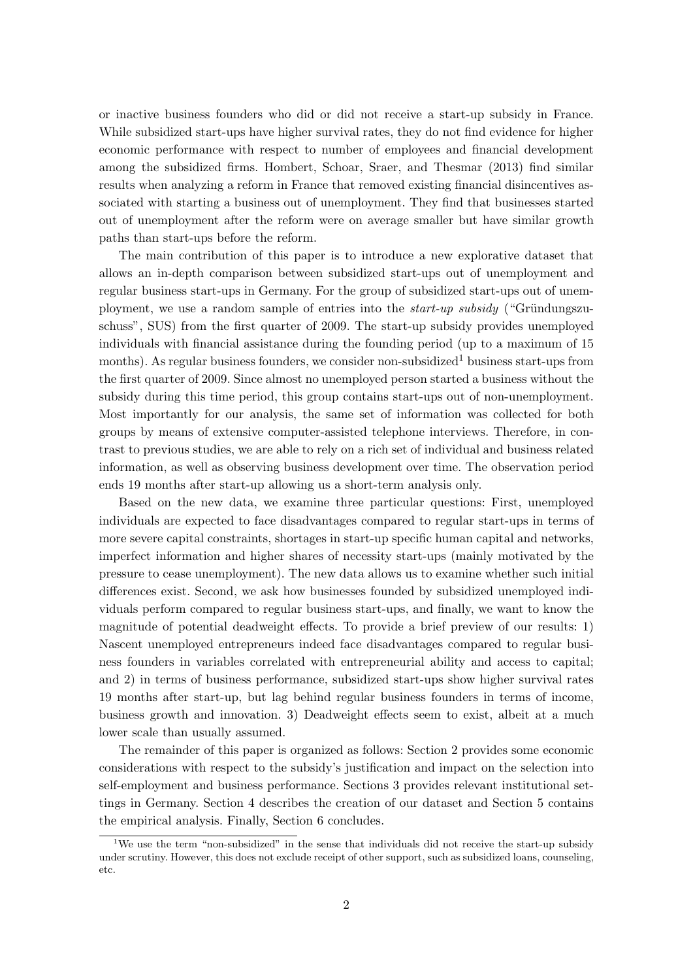or inactive business founders who did or did not receive a start-up subsidy in France. While subsidized start-ups have higher survival rates, they do not find evidence for higher economic performance with respect to number of employees and financial development among the subsidized firms. Hombert, Schoar, Sraer, and Thesmar (2013) find similar results when analyzing a reform in France that removed existing financial disincentives associated with starting a business out of unemployment. They find that businesses started out of unemployment after the reform were on average smaller but have similar growth paths than start-ups before the reform.

The main contribution of this paper is to introduce a new explorative dataset that allows an in-depth comparison between subsidized start-ups out of unemployment and regular business start-ups in Germany. For the group of subsidized start-ups out of unemployment, we use a random sample of entries into the *start-up subsidy* ("Gründungszuschuss", SUS) from the first quarter of 2009. The start-up subsidy provides unemployed individuals with financial assistance during the founding period (up to a maximum of 15 months). As regular business founders, we consider non-subsidized<sup>1</sup> business start-ups from the first quarter of 2009. Since almost no unemployed person started a business without the subsidy during this time period, this group contains start-ups out of non-unemployment. Most importantly for our analysis, the same set of information was collected for both groups by means of extensive computer-assisted telephone interviews. Therefore, in contrast to previous studies, we are able to rely on a rich set of individual and business related information, as well as observing business development over time. The observation period ends 19 months after start-up allowing us a short-term analysis only.

Based on the new data, we examine three particular questions: First, unemployed individuals are expected to face disadvantages compared to regular start-ups in terms of more severe capital constraints, shortages in start-up specific human capital and networks, imperfect information and higher shares of necessity start-ups (mainly motivated by the pressure to cease unemployment). The new data allows us to examine whether such initial differences exist. Second, we ask how businesses founded by subsidized unemployed individuals perform compared to regular business start-ups, and finally, we want to know the magnitude of potential deadweight effects. To provide a brief preview of our results: 1) Nascent unemployed entrepreneurs indeed face disadvantages compared to regular business founders in variables correlated with entrepreneurial ability and access to capital; and 2) in terms of business performance, subsidized start-ups show higher survival rates 19 months after start-up, but lag behind regular business founders in terms of income, business growth and innovation. 3) Deadweight effects seem to exist, albeit at a much lower scale than usually assumed.

The remainder of this paper is organized as follows: Section 2 provides some economic considerations with respect to the subsidy's justification and impact on the selection into self-employment and business performance. Sections 3 provides relevant institutional settings in Germany. Section 4 describes the creation of our dataset and Section 5 contains the empirical analysis. Finally, Section 6 concludes.

<sup>&</sup>lt;sup>1</sup>We use the term "non-subsidized" in the sense that individuals did not receive the start-up subsidy under scrutiny. However, this does not exclude receipt of other support, such as subsidized loans, counseling, etc.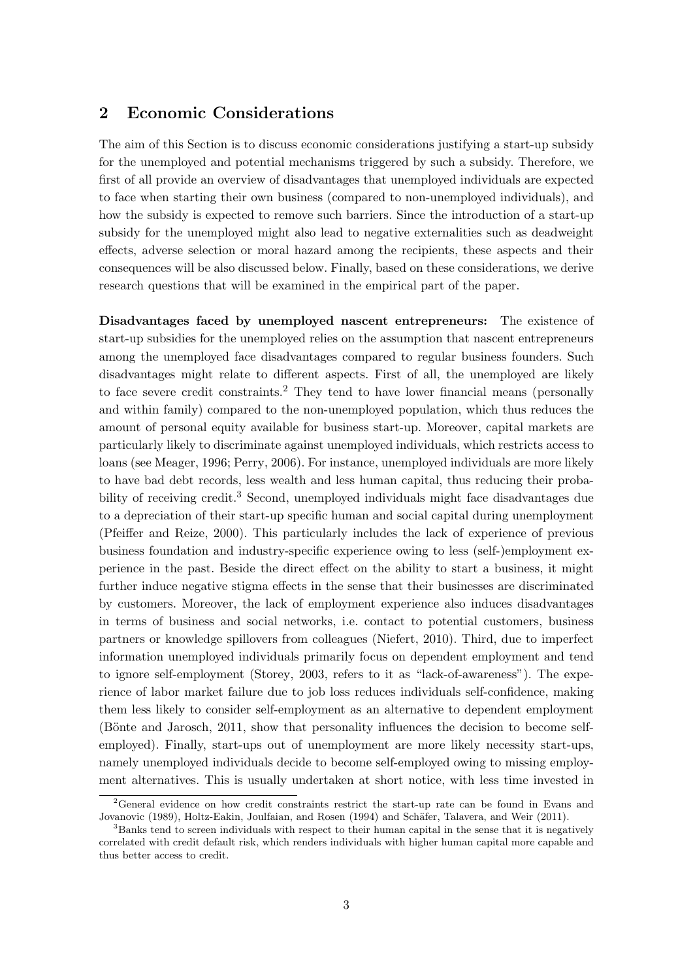### 2 Economic Considerations

The aim of this Section is to discuss economic considerations justifying a start-up subsidy for the unemployed and potential mechanisms triggered by such a subsidy. Therefore, we first of all provide an overview of disadvantages that unemployed individuals are expected to face when starting their own business (compared to non-unemployed individuals), and how the subsidy is expected to remove such barriers. Since the introduction of a start-up subsidy for the unemployed might also lead to negative externalities such as deadweight effects, adverse selection or moral hazard among the recipients, these aspects and their consequences will be also discussed below. Finally, based on these considerations, we derive research questions that will be examined in the empirical part of the paper.

Disadvantages faced by unemployed nascent entrepreneurs: The existence of start-up subsidies for the unemployed relies on the assumption that nascent entrepreneurs among the unemployed face disadvantages compared to regular business founders. Such disadvantages might relate to different aspects. First of all, the unemployed are likely to face severe credit constraints.<sup>2</sup> They tend to have lower financial means (personally and within family) compared to the non-unemployed population, which thus reduces the amount of personal equity available for business start-up. Moreover, capital markets are particularly likely to discriminate against unemployed individuals, which restricts access to loans (see Meager, 1996; Perry, 2006). For instance, unemployed individuals are more likely to have bad debt records, less wealth and less human capital, thus reducing their probability of receiving credit.<sup>3</sup> Second, unemployed individuals might face disadvantages due to a depreciation of their start-up specific human and social capital during unemployment (Pfeiffer and Reize, 2000). This particularly includes the lack of experience of previous business foundation and industry-specific experience owing to less (self-)employment experience in the past. Beside the direct effect on the ability to start a business, it might further induce negative stigma effects in the sense that their businesses are discriminated by customers. Moreover, the lack of employment experience also induces disadvantages in terms of business and social networks, i.e. contact to potential customers, business partners or knowledge spillovers from colleagues (Niefert, 2010). Third, due to imperfect information unemployed individuals primarily focus on dependent employment and tend to ignore self-employment (Storey, 2003, refers to it as "lack-of-awareness"). The experience of labor market failure due to job loss reduces individuals self-confidence, making them less likely to consider self-employment as an alternative to dependent employment (Bönte and Jarosch, 2011, show that personality influences the decision to become selfemployed). Finally, start-ups out of unemployment are more likely necessity start-ups, namely unemployed individuals decide to become self-employed owing to missing employment alternatives. This is usually undertaken at short notice, with less time invested in

<sup>2</sup>General evidence on how credit constraints restrict the start-up rate can be found in Evans and Jovanovic (1989), Holtz-Eakin, Joulfaian, and Rosen (1994) and Schäfer, Talavera, and Weir (2011).

<sup>&</sup>lt;sup>3</sup>Banks tend to screen individuals with respect to their human capital in the sense that it is negatively correlated with credit default risk, which renders individuals with higher human capital more capable and thus better access to credit.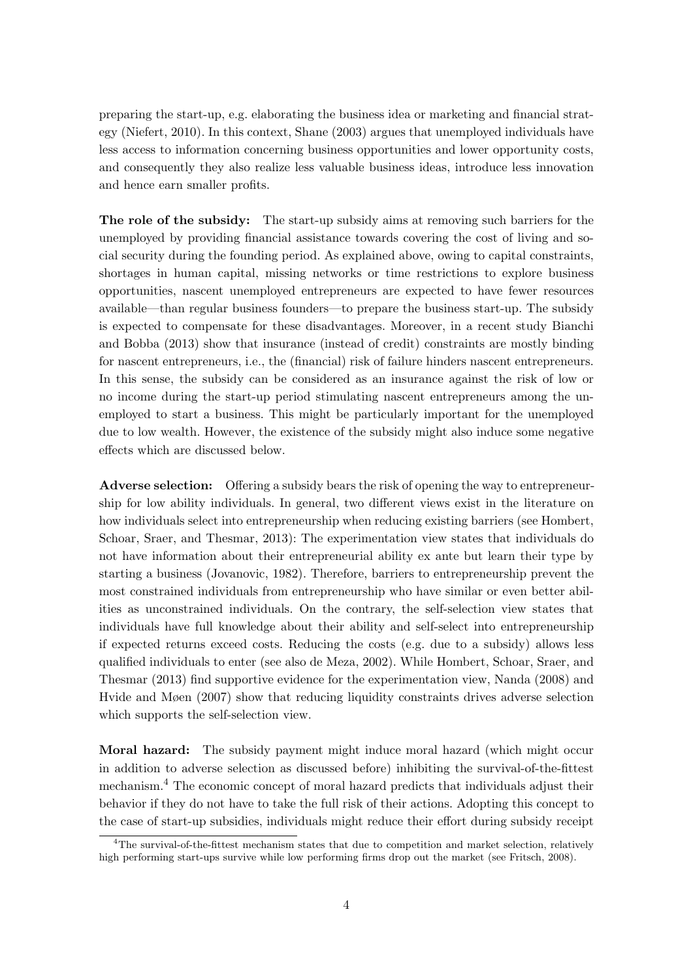preparing the start-up, e.g. elaborating the business idea or marketing and financial strategy (Niefert, 2010). In this context, Shane (2003) argues that unemployed individuals have less access to information concerning business opportunities and lower opportunity costs, and consequently they also realize less valuable business ideas, introduce less innovation and hence earn smaller profits.

The role of the subsidy: The start-up subsidy aims at removing such barriers for the unemployed by providing financial assistance towards covering the cost of living and social security during the founding period. As explained above, owing to capital constraints, shortages in human capital, missing networks or time restrictions to explore business opportunities, nascent unemployed entrepreneurs are expected to have fewer resources available—than regular business founders—to prepare the business start-up. The subsidy is expected to compensate for these disadvantages. Moreover, in a recent study Bianchi and Bobba (2013) show that insurance (instead of credit) constraints are mostly binding for nascent entrepreneurs, i.e., the (financial) risk of failure hinders nascent entrepreneurs. In this sense, the subsidy can be considered as an insurance against the risk of low or no income during the start-up period stimulating nascent entrepreneurs among the unemployed to start a business. This might be particularly important for the unemployed due to low wealth. However, the existence of the subsidy might also induce some negative effects which are discussed below.

Adverse selection: Offering a subsidy bears the risk of opening the way to entrepreneurship for low ability individuals. In general, two different views exist in the literature on how individuals select into entrepreneurship when reducing existing barriers (see Hombert, Schoar, Sraer, and Thesmar, 2013): The experimentation view states that individuals do not have information about their entrepreneurial ability ex ante but learn their type by starting a business (Jovanovic, 1982). Therefore, barriers to entrepreneurship prevent the most constrained individuals from entrepreneurship who have similar or even better abilities as unconstrained individuals. On the contrary, the self-selection view states that individuals have full knowledge about their ability and self-select into entrepreneurship if expected returns exceed costs. Reducing the costs (e.g. due to a subsidy) allows less qualified individuals to enter (see also de Meza, 2002). While Hombert, Schoar, Sraer, and Thesmar (2013) find supportive evidence for the experimentation view, Nanda (2008) and Hvide and Møen (2007) show that reducing liquidity constraints drives adverse selection which supports the self-selection view.

Moral hazard: The subsidy payment might induce moral hazard (which might occur in addition to adverse selection as discussed before) inhibiting the survival-of-the-fittest mechanism.<sup>4</sup> The economic concept of moral hazard predicts that individuals adjust their behavior if they do not have to take the full risk of their actions. Adopting this concept to the case of start-up subsidies, individuals might reduce their effort during subsidy receipt

<sup>&</sup>lt;sup>4</sup>The survival-of-the-fittest mechanism states that due to competition and market selection, relatively high performing start-ups survive while low performing firms drop out the market (see Fritsch, 2008).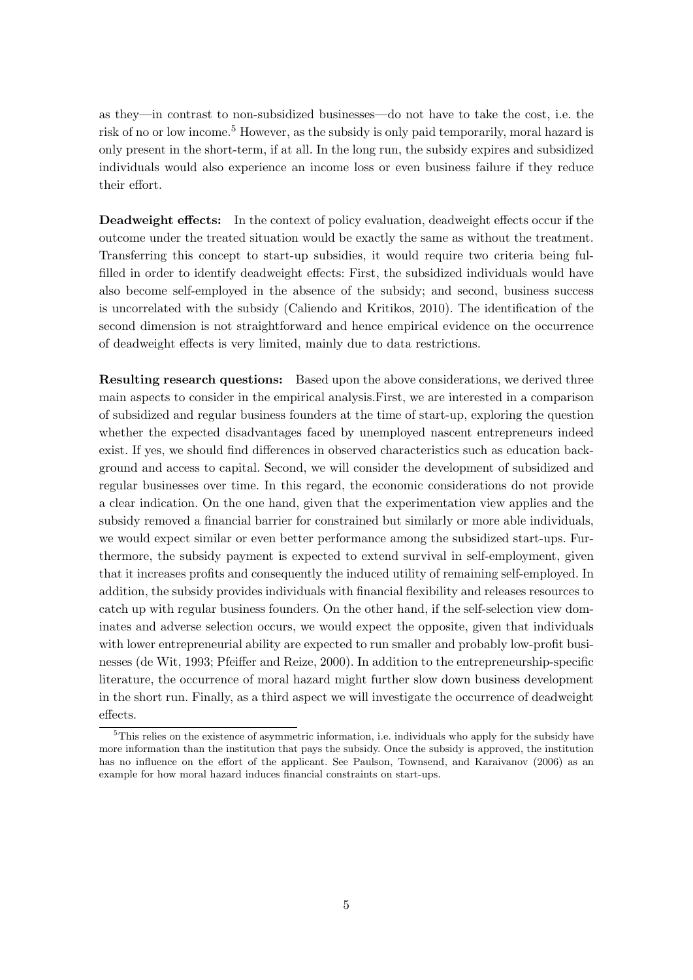as they—in contrast to non-subsidized businesses—do not have to take the cost, i.e. the risk of no or low income.<sup>5</sup> However, as the subsidy is only paid temporarily, moral hazard is only present in the short-term, if at all. In the long run, the subsidy expires and subsidized individuals would also experience an income loss or even business failure if they reduce their effort.

Deadweight effects: In the context of policy evaluation, deadweight effects occur if the outcome under the treated situation would be exactly the same as without the treatment. Transferring this concept to start-up subsidies, it would require two criteria being fulfilled in order to identify deadweight effects: First, the subsidized individuals would have also become self-employed in the absence of the subsidy; and second, business success is uncorrelated with the subsidy (Caliendo and Kritikos, 2010). The identification of the second dimension is not straightforward and hence empirical evidence on the occurrence of deadweight effects is very limited, mainly due to data restrictions.

Resulting research questions: Based upon the above considerations, we derived three main aspects to consider in the empirical analysis.First, we are interested in a comparison of subsidized and regular business founders at the time of start-up, exploring the question whether the expected disadvantages faced by unemployed nascent entrepreneurs indeed exist. If yes, we should find differences in observed characteristics such as education background and access to capital. Second, we will consider the development of subsidized and regular businesses over time. In this regard, the economic considerations do not provide a clear indication. On the one hand, given that the experimentation view applies and the subsidy removed a financial barrier for constrained but similarly or more able individuals, we would expect similar or even better performance among the subsidized start-ups. Furthermore, the subsidy payment is expected to extend survival in self-employment, given that it increases profits and consequently the induced utility of remaining self-employed. In addition, the subsidy provides individuals with financial flexibility and releases resources to catch up with regular business founders. On the other hand, if the self-selection view dominates and adverse selection occurs, we would expect the opposite, given that individuals with lower entrepreneurial ability are expected to run smaller and probably low-profit businesses (de Wit, 1993; Pfeiffer and Reize, 2000). In addition to the entrepreneurship-specific literature, the occurrence of moral hazard might further slow down business development in the short run. Finally, as a third aspect we will investigate the occurrence of deadweight effects.

<sup>5</sup>This relies on the existence of asymmetric information, i.e. individuals who apply for the subsidy have more information than the institution that pays the subsidy. Once the subsidy is approved, the institution has no influence on the effort of the applicant. See Paulson, Townsend, and Karaivanov (2006) as an example for how moral hazard induces financial constraints on start-ups.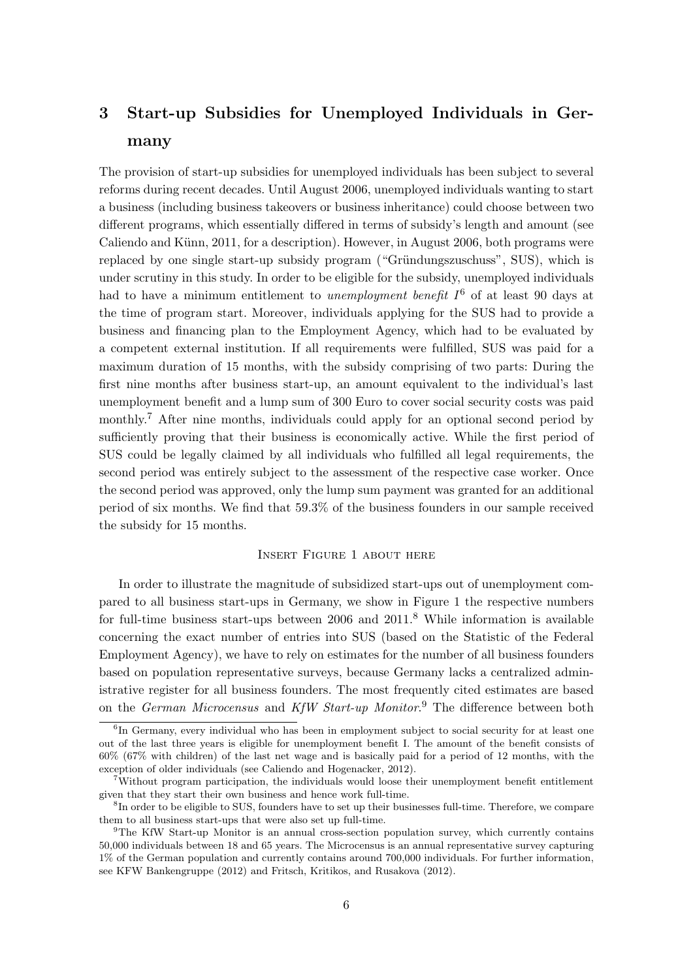## 3 Start-up Subsidies for Unemployed Individuals in Germany

The provision of start-up subsidies for unemployed individuals has been subject to several reforms during recent decades. Until August 2006, unemployed individuals wanting to start a business (including business takeovers or business inheritance) could choose between two different programs, which essentially differed in terms of subsidy's length and amount (see Caliendo and Künn, 2011, for a description). However, in August 2006, both programs were replaced by one single start-up subsidy program ("Gründungszuschuss", SUS), which is under scrutiny in this study. In order to be eligible for the subsidy, unemployed individuals had to have a minimum entitlement to *unemployment benefit*  $I^6$  of at least 90 days at the time of program start. Moreover, individuals applying for the SUS had to provide a business and financing plan to the Employment Agency, which had to be evaluated by a competent external institution. If all requirements were fulfilled, SUS was paid for a maximum duration of 15 months, with the subsidy comprising of two parts: During the first nine months after business start-up, an amount equivalent to the individual's last unemployment benefit and a lump sum of 300 Euro to cover social security costs was paid monthly.<sup>7</sup> After nine months, individuals could apply for an optional second period by sufficiently proving that their business is economically active. While the first period of SUS could be legally claimed by all individuals who fulfilled all legal requirements, the second period was entirely subject to the assessment of the respective case worker. Once the second period was approved, only the lump sum payment was granted for an additional period of six months. We find that 59.3% of the business founders in our sample received the subsidy for 15 months.

#### Insert Figure 1 about here

In order to illustrate the magnitude of subsidized start-ups out of unemployment compared to all business start-ups in Germany, we show in Figure 1 the respective numbers for full-time business start-ups between 2006 and  $2011$ .<sup>8</sup> While information is available concerning the exact number of entries into SUS (based on the Statistic of the Federal Employment Agency), we have to rely on estimates for the number of all business founders based on population representative surveys, because Germany lacks a centralized administrative register for all business founders. The most frequently cited estimates are based on the *German Microcensus* and KfW Start-up Monitor.<sup>9</sup> The difference between both

<sup>&</sup>lt;sup>6</sup>In Germany, every individual who has been in employment subject to social security for at least one out of the last three years is eligible for unemployment benefit I. The amount of the benefit consists of 60% (67% with children) of the last net wage and is basically paid for a period of 12 months, with the exception of older individuals (see Caliendo and Hogenacker, 2012).

<sup>7</sup>Without program participation, the individuals would loose their unemployment benefit entitlement given that they start their own business and hence work full-time.

<sup>&</sup>lt;sup>8</sup>In order to be eligible to SUS, founders have to set up their businesses full-time. Therefore, we compare them to all business start-ups that were also set up full-time.

<sup>&</sup>lt;sup>9</sup>The KfW Start-up Monitor is an annual cross-section population survey, which currently contains 50,000 individuals between 18 and 65 years. The Microcensus is an annual representative survey capturing 1% of the German population and currently contains around 700,000 individuals. For further information, see KFW Bankengruppe (2012) and Fritsch, Kritikos, and Rusakova (2012).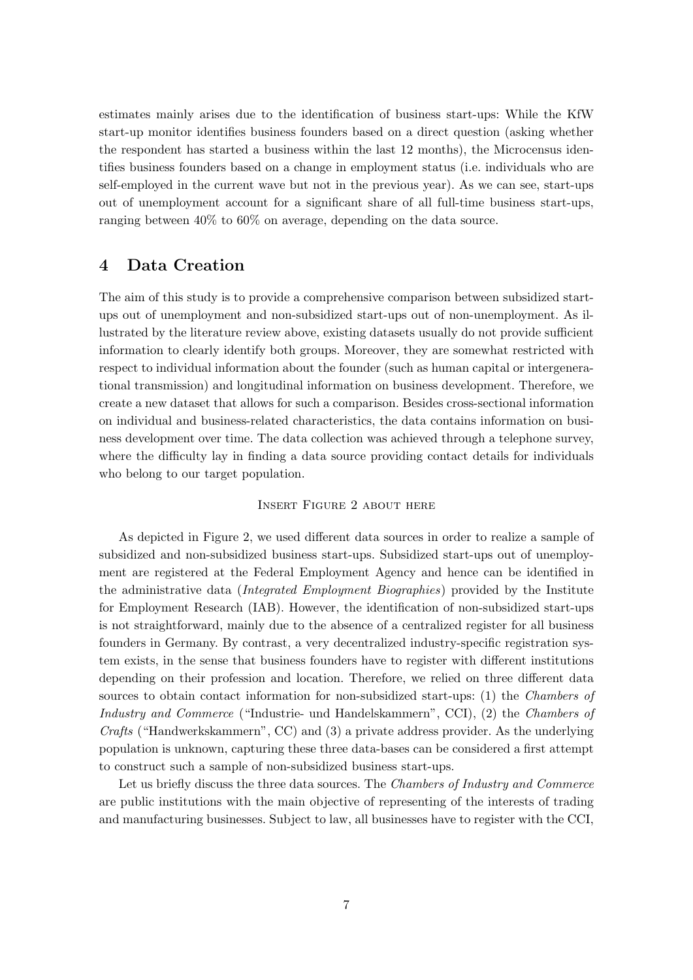estimates mainly arises due to the identification of business start-ups: While the KfW start-up monitor identifies business founders based on a direct question (asking whether the respondent has started a business within the last 12 months), the Microcensus identifies business founders based on a change in employment status (i.e. individuals who are self-employed in the current wave but not in the previous year). As we can see, start-ups out of unemployment account for a significant share of all full-time business start-ups, ranging between 40% to 60% on average, depending on the data source.

### 4 Data Creation

The aim of this study is to provide a comprehensive comparison between subsidized startups out of unemployment and non-subsidized start-ups out of non-unemployment. As illustrated by the literature review above, existing datasets usually do not provide sufficient information to clearly identify both groups. Moreover, they are somewhat restricted with respect to individual information about the founder (such as human capital or intergenerational transmission) and longitudinal information on business development. Therefore, we create a new dataset that allows for such a comparison. Besides cross-sectional information on individual and business-related characteristics, the data contains information on business development over time. The data collection was achieved through a telephone survey, where the difficulty lay in finding a data source providing contact details for individuals who belong to our target population.

#### Insert Figure 2 about here

As depicted in Figure 2, we used different data sources in order to realize a sample of subsidized and non-subsidized business start-ups. Subsidized start-ups out of unemployment are registered at the Federal Employment Agency and hence can be identified in the administrative data *(Integrated Employment Biographies)* provided by the Institute for Employment Research (IAB). However, the identification of non-subsidized start-ups is not straightforward, mainly due to the absence of a centralized register for all business founders in Germany. By contrast, a very decentralized industry-specific registration system exists, in the sense that business founders have to register with different institutions depending on their profession and location. Therefore, we relied on three different data sources to obtain contact information for non-subsidized start-ups: (1) the *Chambers of* Industry and Commerce ("Industrie- und Handelskammern", CCI), (2) the Chambers of Crafts ("Handwerkskammern", CC) and (3) a private address provider. As the underlying population is unknown, capturing these three data-bases can be considered a first attempt to construct such a sample of non-subsidized business start-ups.

Let us briefly discuss the three data sources. The *Chambers of Industry and Commerce* are public institutions with the main objective of representing of the interests of trading and manufacturing businesses. Subject to law, all businesses have to register with the CCI,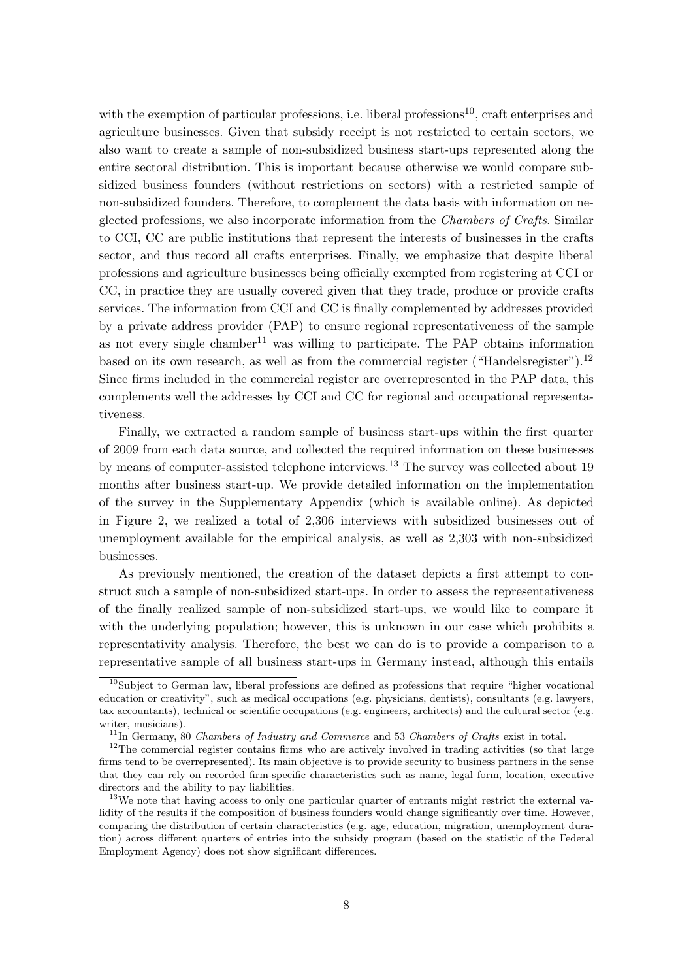with the exemption of particular professions, i.e. liberal professions<sup>10</sup>, craft enterprises and agriculture businesses. Given that subsidy receipt is not restricted to certain sectors, we also want to create a sample of non-subsidized business start-ups represented along the entire sectoral distribution. This is important because otherwise we would compare subsidized business founders (without restrictions on sectors) with a restricted sample of non-subsidized founders. Therefore, to complement the data basis with information on neglected professions, we also incorporate information from the *Chambers of Crafts*. Similar to CCI, CC are public institutions that represent the interests of businesses in the crafts sector, and thus record all crafts enterprises. Finally, we emphasize that despite liberal professions and agriculture businesses being officially exempted from registering at CCI or CC, in practice they are usually covered given that they trade, produce or provide crafts services. The information from CCI and CC is finally complemented by addresses provided by a private address provider (PAP) to ensure regional representativeness of the sample as not every single chamber<sup>11</sup> was willing to participate. The PAP obtains information based on its own research, as well as from the commercial register ("Handelsregister").<sup>12</sup> Since firms included in the commercial register are overrepresented in the PAP data, this complements well the addresses by CCI and CC for regional and occupational representativeness.

Finally, we extracted a random sample of business start-ups within the first quarter of 2009 from each data source, and collected the required information on these businesses by means of computer-assisted telephone interviews.<sup>13</sup> The survey was collected about 19 months after business start-up. We provide detailed information on the implementation of the survey in the Supplementary Appendix (which is available online). As depicted in Figure 2, we realized a total of 2,306 interviews with subsidized businesses out of unemployment available for the empirical analysis, as well as 2,303 with non-subsidized businesses.

As previously mentioned, the creation of the dataset depicts a first attempt to construct such a sample of non-subsidized start-ups. In order to assess the representativeness of the finally realized sample of non-subsidized start-ups, we would like to compare it with the underlying population; however, this is unknown in our case which prohibits a representativity analysis. Therefore, the best we can do is to provide a comparison to a representative sample of all business start-ups in Germany instead, although this entails

<sup>10</sup>Subject to German law, liberal professions are defined as professions that require "higher vocational education or creativity", such as medical occupations (e.g. physicians, dentists), consultants (e.g. lawyers, tax accountants), technical or scientific occupations (e.g. engineers, architects) and the cultural sector (e.g. writer, musicians).

 $11$ In Germany, 80 Chambers of Industry and Commerce and 53 Chambers of Crafts exist in total.

<sup>&</sup>lt;sup>12</sup>The commercial register contains firms who are actively involved in trading activities (so that large firms tend to be overrepresented). Its main objective is to provide security to business partners in the sense that they can rely on recorded firm-specific characteristics such as name, legal form, location, executive directors and the ability to pay liabilities.

<sup>&</sup>lt;sup>13</sup>We note that having access to only one particular quarter of entrants might restrict the external validity of the results if the composition of business founders would change significantly over time. However, comparing the distribution of certain characteristics (e.g. age, education, migration, unemployment duration) across different quarters of entries into the subsidy program (based on the statistic of the Federal Employment Agency) does not show significant differences.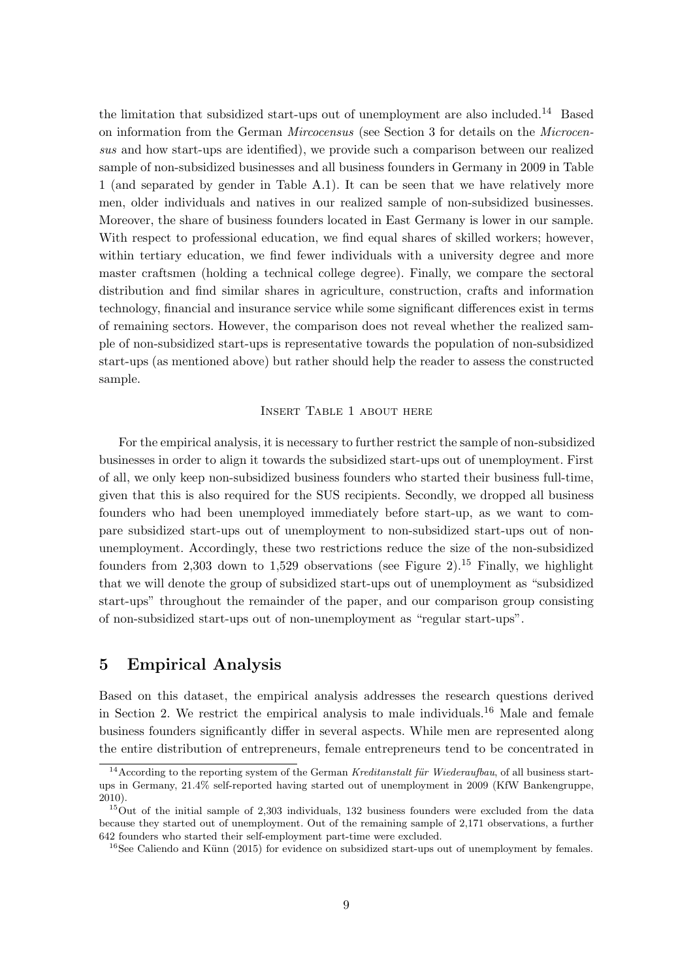the limitation that subsidized start-ups out of unemployment are also included.<sup>14</sup> Based on information from the German *Mircocensus* (see Section 3 for details on the *Microcen*sus and how start-ups are identified), we provide such a comparison between our realized sample of non-subsidized businesses and all business founders in Germany in 2009 in Table 1 (and separated by gender in Table A.1). It can be seen that we have relatively more men, older individuals and natives in our realized sample of non-subsidized businesses. Moreover, the share of business founders located in East Germany is lower in our sample. With respect to professional education, we find equal shares of skilled workers; however, within tertiary education, we find fewer individuals with a university degree and more master craftsmen (holding a technical college degree). Finally, we compare the sectoral distribution and find similar shares in agriculture, construction, crafts and information technology, financial and insurance service while some significant differences exist in terms of remaining sectors. However, the comparison does not reveal whether the realized sample of non-subsidized start-ups is representative towards the population of non-subsidized start-ups (as mentioned above) but rather should help the reader to assess the constructed sample.

#### Insert Table 1 about here

For the empirical analysis, it is necessary to further restrict the sample of non-subsidized businesses in order to align it towards the subsidized start-ups out of unemployment. First of all, we only keep non-subsidized business founders who started their business full-time, given that this is also required for the SUS recipients. Secondly, we dropped all business founders who had been unemployed immediately before start-up, as we want to compare subsidized start-ups out of unemployment to non-subsidized start-ups out of nonunemployment. Accordingly, these two restrictions reduce the size of the non-subsidized founders from 2,303 down to 1,529 observations (see Figure 2).<sup>15</sup> Finally, we highlight that we will denote the group of subsidized start-ups out of unemployment as "subsidized start-ups" throughout the remainder of the paper, and our comparison group consisting of non-subsidized start-ups out of non-unemployment as "regular start-ups".

### 5 Empirical Analysis

Based on this dataset, the empirical analysis addresses the research questions derived in Section 2. We restrict the empirical analysis to male individuals.<sup>16</sup> Male and female business founders significantly differ in several aspects. While men are represented along the entire distribution of entrepreneurs, female entrepreneurs tend to be concentrated in

<sup>&</sup>lt;sup>14</sup>According to the reporting system of the German Kreditanstalt für Wiederaufbau, of all business startups in Germany, 21.4% self-reported having started out of unemployment in 2009 (KfW Bankengruppe, 2010).

<sup>&</sup>lt;sup>15</sup>Out of the initial sample of 2,303 individuals, 132 business founders were excluded from the data because they started out of unemployment. Out of the remaining sample of 2,171 observations, a further 642 founders who started their self-employment part-time were excluded.

 $16$ See Caliendo and Künn (2015) for evidence on subsidized start-ups out of unemployment by females.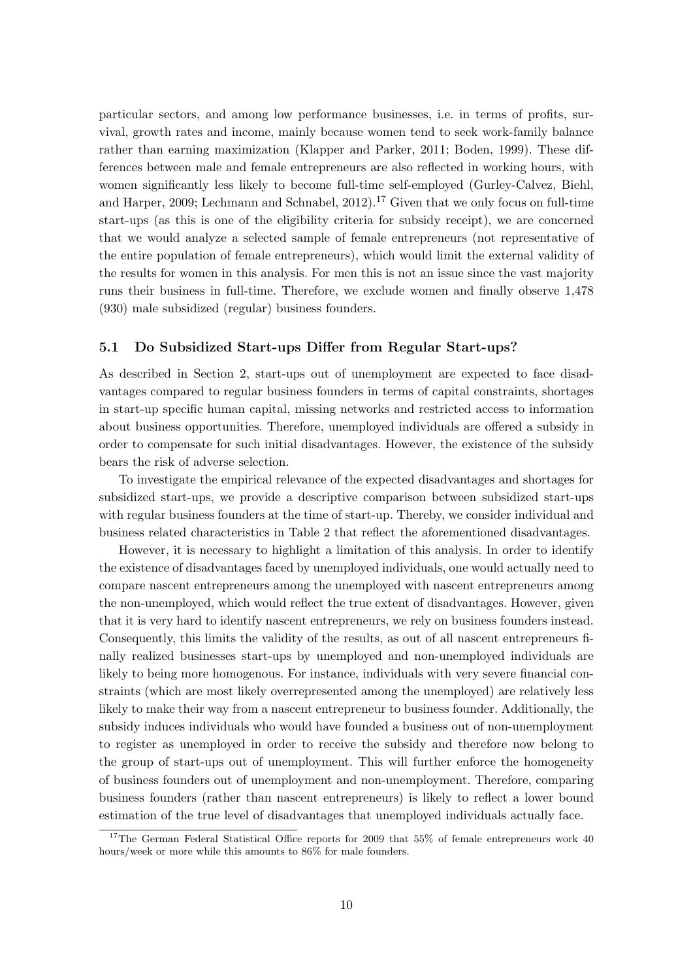particular sectors, and among low performance businesses, i.e. in terms of profits, survival, growth rates and income, mainly because women tend to seek work-family balance rather than earning maximization (Klapper and Parker, 2011; Boden, 1999). These differences between male and female entrepreneurs are also reflected in working hours, with women significantly less likely to become full-time self-employed (Gurley-Calvez, Biehl, and Harper, 2009; Lechmann and Schnabel, 2012).<sup>17</sup> Given that we only focus on full-time start-ups (as this is one of the eligibility criteria for subsidy receipt), we are concerned that we would analyze a selected sample of female entrepreneurs (not representative of the entire population of female entrepreneurs), which would limit the external validity of the results for women in this analysis. For men this is not an issue since the vast majority runs their business in full-time. Therefore, we exclude women and finally observe 1,478 (930) male subsidized (regular) business founders.

#### 5.1 Do Subsidized Start-ups Differ from Regular Start-ups?

As described in Section 2, start-ups out of unemployment are expected to face disadvantages compared to regular business founders in terms of capital constraints, shortages in start-up specific human capital, missing networks and restricted access to information about business opportunities. Therefore, unemployed individuals are offered a subsidy in order to compensate for such initial disadvantages. However, the existence of the subsidy bears the risk of adverse selection.

To investigate the empirical relevance of the expected disadvantages and shortages for subsidized start-ups, we provide a descriptive comparison between subsidized start-ups with regular business founders at the time of start-up. Thereby, we consider individual and business related characteristics in Table 2 that reflect the aforementioned disadvantages.

However, it is necessary to highlight a limitation of this analysis. In order to identify the existence of disadvantages faced by unemployed individuals, one would actually need to compare nascent entrepreneurs among the unemployed with nascent entrepreneurs among the non-unemployed, which would reflect the true extent of disadvantages. However, given that it is very hard to identify nascent entrepreneurs, we rely on business founders instead. Consequently, this limits the validity of the results, as out of all nascent entrepreneurs finally realized businesses start-ups by unemployed and non-unemployed individuals are likely to being more homogenous. For instance, individuals with very severe financial constraints (which are most likely overrepresented among the unemployed) are relatively less likely to make their way from a nascent entrepreneur to business founder. Additionally, the subsidy induces individuals who would have founded a business out of non-unemployment to register as unemployed in order to receive the subsidy and therefore now belong to the group of start-ups out of unemployment. This will further enforce the homogeneity of business founders out of unemployment and non-unemployment. Therefore, comparing business founders (rather than nascent entrepreneurs) is likely to reflect a lower bound estimation of the true level of disadvantages that unemployed individuals actually face.

<sup>&</sup>lt;sup>17</sup>The German Federal Statistical Office reports for 2009 that 55% of female entrepreneurs work 40 hours/week or more while this amounts to 86% for male founders.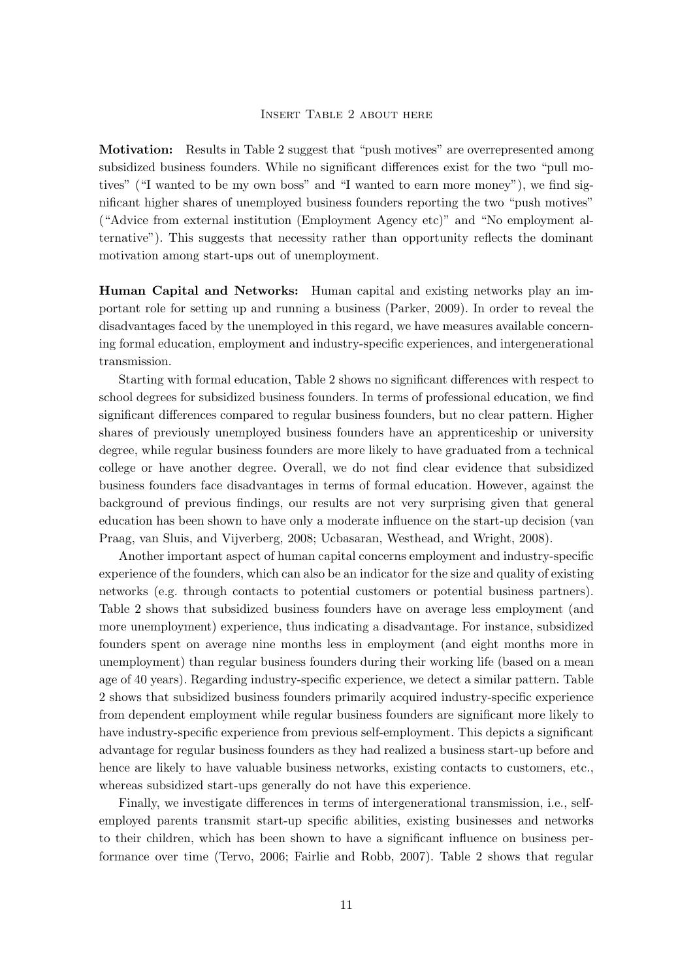#### Insert Table 2 about here

Motivation: Results in Table 2 suggest that "push motives" are overrepresented among subsidized business founders. While no significant differences exist for the two "pull motives" ("I wanted to be my own boss" and "I wanted to earn more money"), we find significant higher shares of unemployed business founders reporting the two "push motives" ("Advice from external institution (Employment Agency etc)" and "No employment alternative"). This suggests that necessity rather than opportunity reflects the dominant motivation among start-ups out of unemployment.

Human Capital and Networks: Human capital and existing networks play an important role for setting up and running a business (Parker, 2009). In order to reveal the disadvantages faced by the unemployed in this regard, we have measures available concerning formal education, employment and industry-specific experiences, and intergenerational transmission.

Starting with formal education, Table 2 shows no significant differences with respect to school degrees for subsidized business founders. In terms of professional education, we find significant differences compared to regular business founders, but no clear pattern. Higher shares of previously unemployed business founders have an apprenticeship or university degree, while regular business founders are more likely to have graduated from a technical college or have another degree. Overall, we do not find clear evidence that subsidized business founders face disadvantages in terms of formal education. However, against the background of previous findings, our results are not very surprising given that general education has been shown to have only a moderate influence on the start-up decision (van Praag, van Sluis, and Vijverberg, 2008; Ucbasaran, Westhead, and Wright, 2008).

Another important aspect of human capital concerns employment and industry-specific experience of the founders, which can also be an indicator for the size and quality of existing networks (e.g. through contacts to potential customers or potential business partners). Table 2 shows that subsidized business founders have on average less employment (and more unemployment) experience, thus indicating a disadvantage. For instance, subsidized founders spent on average nine months less in employment (and eight months more in unemployment) than regular business founders during their working life (based on a mean age of 40 years). Regarding industry-specific experience, we detect a similar pattern. Table 2 shows that subsidized business founders primarily acquired industry-specific experience from dependent employment while regular business founders are significant more likely to have industry-specific experience from previous self-employment. This depicts a significant advantage for regular business founders as they had realized a business start-up before and hence are likely to have valuable business networks, existing contacts to customers, etc., whereas subsidized start-ups generally do not have this experience.

Finally, we investigate differences in terms of intergenerational transmission, i.e., selfemployed parents transmit start-up specific abilities, existing businesses and networks to their children, which has been shown to have a significant influence on business performance over time (Tervo, 2006; Fairlie and Robb, 2007). Table 2 shows that regular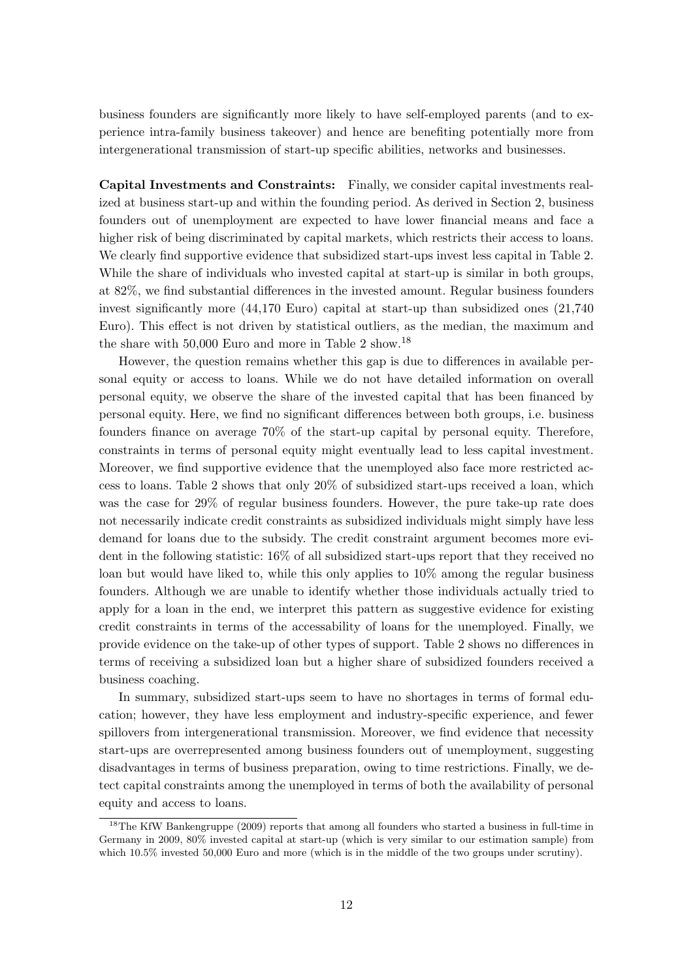business founders are significantly more likely to have self-employed parents (and to experience intra-family business takeover) and hence are benefiting potentially more from intergenerational transmission of start-up specific abilities, networks and businesses.

Capital Investments and Constraints: Finally, we consider capital investments realized at business start-up and within the founding period. As derived in Section 2, business founders out of unemployment are expected to have lower financial means and face a higher risk of being discriminated by capital markets, which restricts their access to loans. We clearly find supportive evidence that subsidized start-ups invest less capital in Table 2. While the share of individuals who invested capital at start-up is similar in both groups, at 82%, we find substantial differences in the invested amount. Regular business founders invest significantly more (44,170 Euro) capital at start-up than subsidized ones (21,740 Euro). This effect is not driven by statistical outliers, as the median, the maximum and the share with  $50,000$  Euro and more in Table 2 show.<sup>18</sup>

However, the question remains whether this gap is due to differences in available personal equity or access to loans. While we do not have detailed information on overall personal equity, we observe the share of the invested capital that has been financed by personal equity. Here, we find no significant differences between both groups, i.e. business founders finance on average 70% of the start-up capital by personal equity. Therefore, constraints in terms of personal equity might eventually lead to less capital investment. Moreover, we find supportive evidence that the unemployed also face more restricted access to loans. Table 2 shows that only 20% of subsidized start-ups received a loan, which was the case for 29% of regular business founders. However, the pure take-up rate does not necessarily indicate credit constraints as subsidized individuals might simply have less demand for loans due to the subsidy. The credit constraint argument becomes more evident in the following statistic: 16% of all subsidized start-ups report that they received no loan but would have liked to, while this only applies to 10% among the regular business founders. Although we are unable to identify whether those individuals actually tried to apply for a loan in the end, we interpret this pattern as suggestive evidence for existing credit constraints in terms of the accessability of loans for the unemployed. Finally, we provide evidence on the take-up of other types of support. Table 2 shows no differences in terms of receiving a subsidized loan but a higher share of subsidized founders received a business coaching.

In summary, subsidized start-ups seem to have no shortages in terms of formal education; however, they have less employment and industry-specific experience, and fewer spillovers from intergenerational transmission. Moreover, we find evidence that necessity start-ups are overrepresented among business founders out of unemployment, suggesting disadvantages in terms of business preparation, owing to time restrictions. Finally, we detect capital constraints among the unemployed in terms of both the availability of personal equity and access to loans.

<sup>&</sup>lt;sup>18</sup>The KfW Bankengruppe (2009) reports that among all founders who started a business in full-time in Germany in 2009, 80% invested capital at start-up (which is very similar to our estimation sample) from which 10.5% invested 50,000 Euro and more (which is in the middle of the two groups under scrutiny).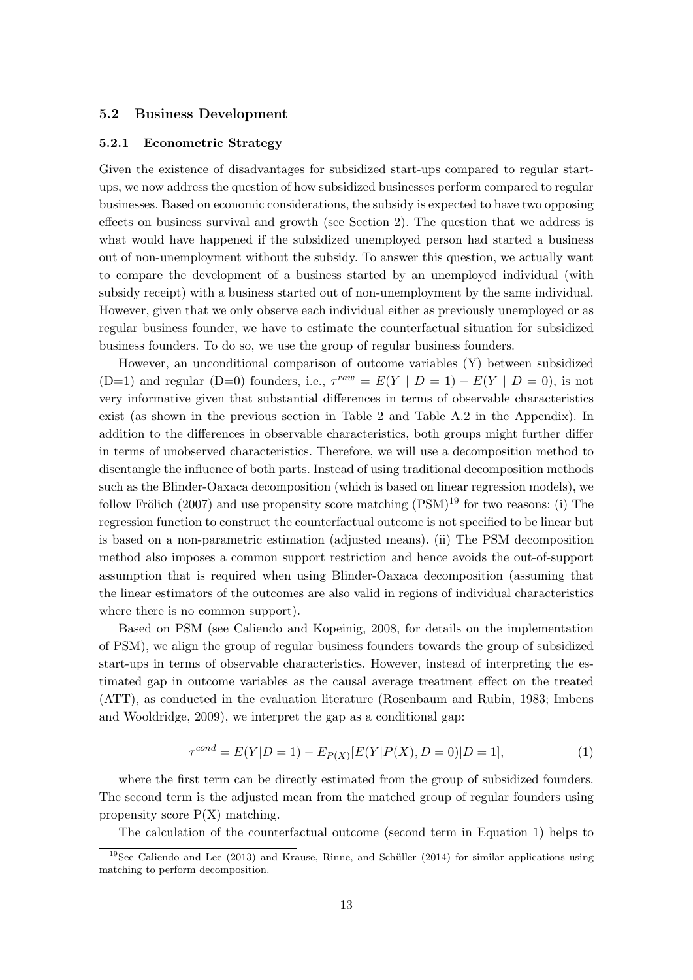#### 5.2 Business Development

#### 5.2.1 Econometric Strategy

Given the existence of disadvantages for subsidized start-ups compared to regular startups, we now address the question of how subsidized businesses perform compared to regular businesses. Based on economic considerations, the subsidy is expected to have two opposing effects on business survival and growth (see Section 2). The question that we address is what would have happened if the subsidized unemployed person had started a business out of non-unemployment without the subsidy. To answer this question, we actually want to compare the development of a business started by an unemployed individual (with subsidy receipt) with a business started out of non-unemployment by the same individual. However, given that we only observe each individual either as previously unemployed or as regular business founder, we have to estimate the counterfactual situation for subsidized business founders. To do so, we use the group of regular business founders.

However, an unconditional comparison of outcome variables (Y) between subsidized (D=1) and regular (D=0) founders, i.e.,  $\tau^{raw} = E(Y | D = 1) - E(Y | D = 0)$ , is not very informative given that substantial differences in terms of observable characteristics exist (as shown in the previous section in Table 2 and Table A.2 in the Appendix). In addition to the differences in observable characteristics, both groups might further differ in terms of unobserved characteristics. Therefore, we will use a decomposition method to disentangle the influence of both parts. Instead of using traditional decomposition methods such as the Blinder-Oaxaca decomposition (which is based on linear regression models), we follow Frölich (2007) and use propensity score matching  $(PSM)^{19}$  for two reasons: (i) The regression function to construct the counterfactual outcome is not specified to be linear but is based on a non-parametric estimation (adjusted means). (ii) The PSM decomposition method also imposes a common support restriction and hence avoids the out-of-support assumption that is required when using Blinder-Oaxaca decomposition (assuming that the linear estimators of the outcomes are also valid in regions of individual characteristics where there is no common support).

Based on PSM (see Caliendo and Kopeinig, 2008, for details on the implementation of PSM), we align the group of regular business founders towards the group of subsidized start-ups in terms of observable characteristics. However, instead of interpreting the estimated gap in outcome variables as the causal average treatment effect on the treated (ATT), as conducted in the evaluation literature (Rosenbaum and Rubin, 1983; Imbens and Wooldridge, 2009), we interpret the gap as a conditional gap:

$$
\tau^{cond} = E(Y|D=1) - E_{P(X)}[E(Y|P(X), D=0)|D=1],
$$
\n(1)

where the first term can be directly estimated from the group of subsidized founders. The second term is the adjusted mean from the matched group of regular founders using propensity score  $P(X)$  matching.

The calculation of the counterfactual outcome (second term in Equation 1) helps to

 $19$ See Caliendo and Lee (2013) and Krause, Rinne, and Schüller (2014) for similar applications using matching to perform decomposition.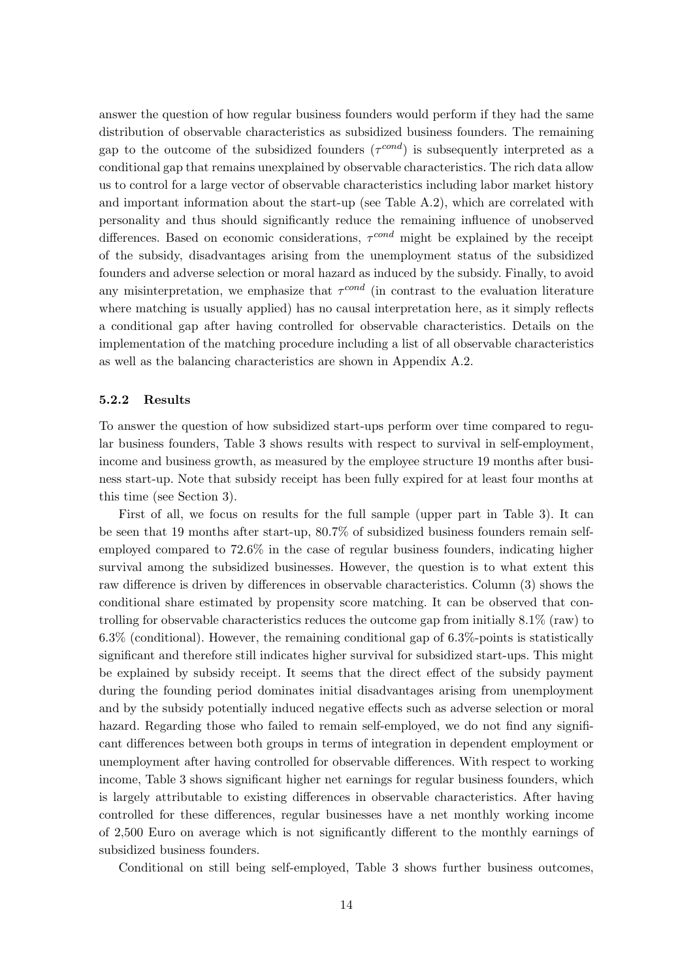answer the question of how regular business founders would perform if they had the same distribution of observable characteristics as subsidized business founders. The remaining gap to the outcome of the subsidized founders  $(\tau^{cond})$  is subsequently interpreted as a conditional gap that remains unexplained by observable characteristics. The rich data allow us to control for a large vector of observable characteristics including labor market history and important information about the start-up (see Table A.2), which are correlated with personality and thus should significantly reduce the remaining influence of unobserved differences. Based on economic considerations,  $\tau^{cond}$  might be explained by the receipt of the subsidy, disadvantages arising from the unemployment status of the subsidized founders and adverse selection or moral hazard as induced by the subsidy. Finally, to avoid any misinterpretation, we emphasize that  $\tau^{cond}$  (in contrast to the evaluation literature where matching is usually applied) has no causal interpretation here, as it simply reflects a conditional gap after having controlled for observable characteristics. Details on the implementation of the matching procedure including a list of all observable characteristics as well as the balancing characteristics are shown in Appendix A.2.

#### 5.2.2 Results

To answer the question of how subsidized start-ups perform over time compared to regular business founders, Table 3 shows results with respect to survival in self-employment, income and business growth, as measured by the employee structure 19 months after business start-up. Note that subsidy receipt has been fully expired for at least four months at this time (see Section 3).

First of all, we focus on results for the full sample (upper part in Table 3). It can be seen that 19 months after start-up, 80.7% of subsidized business founders remain selfemployed compared to 72.6% in the case of regular business founders, indicating higher survival among the subsidized businesses. However, the question is to what extent this raw difference is driven by differences in observable characteristics. Column (3) shows the conditional share estimated by propensity score matching. It can be observed that controlling for observable characteristics reduces the outcome gap from initially 8.1% (raw) to 6.3% (conditional). However, the remaining conditional gap of 6.3%-points is statistically significant and therefore still indicates higher survival for subsidized start-ups. This might be explained by subsidy receipt. It seems that the direct effect of the subsidy payment during the founding period dominates initial disadvantages arising from unemployment and by the subsidy potentially induced negative effects such as adverse selection or moral hazard. Regarding those who failed to remain self-employed, we do not find any significant differences between both groups in terms of integration in dependent employment or unemployment after having controlled for observable differences. With respect to working income, Table 3 shows significant higher net earnings for regular business founders, which is largely attributable to existing differences in observable characteristics. After having controlled for these differences, regular businesses have a net monthly working income of 2,500 Euro on average which is not significantly different to the monthly earnings of subsidized business founders.

Conditional on still being self-employed, Table 3 shows further business outcomes,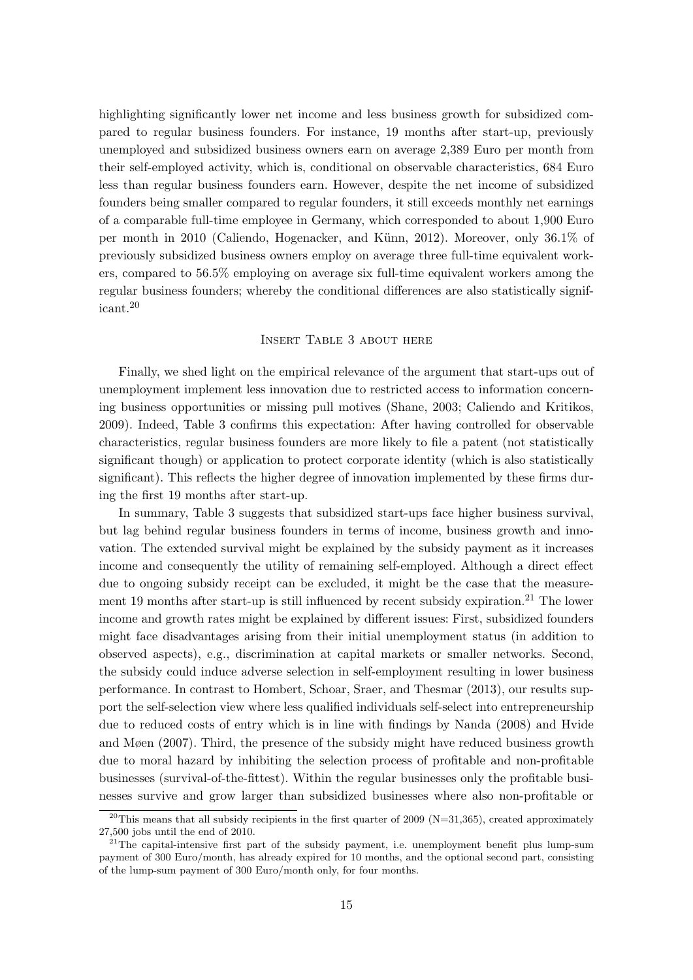highlighting significantly lower net income and less business growth for subsidized compared to regular business founders. For instance, 19 months after start-up, previously unemployed and subsidized business owners earn on average 2,389 Euro per month from their self-employed activity, which is, conditional on observable characteristics, 684 Euro less than regular business founders earn. However, despite the net income of subsidized founders being smaller compared to regular founders, it still exceeds monthly net earnings of a comparable full-time employee in Germany, which corresponded to about 1,900 Euro per month in 2010 (Caliendo, Hogenacker, and Künn, 2012). Moreover, only 36.1% of previously subsidized business owners employ on average three full-time equivalent workers, compared to 56.5% employing on average six full-time equivalent workers among the regular business founders; whereby the conditional differences are also statistically significant.<sup>20</sup>

#### Insert Table 3 about here

Finally, we shed light on the empirical relevance of the argument that start-ups out of unemployment implement less innovation due to restricted access to information concerning business opportunities or missing pull motives (Shane, 2003; Caliendo and Kritikos, 2009). Indeed, Table 3 confirms this expectation: After having controlled for observable characteristics, regular business founders are more likely to file a patent (not statistically significant though) or application to protect corporate identity (which is also statistically significant). This reflects the higher degree of innovation implemented by these firms during the first 19 months after start-up.

In summary, Table 3 suggests that subsidized start-ups face higher business survival, but lag behind regular business founders in terms of income, business growth and innovation. The extended survival might be explained by the subsidy payment as it increases income and consequently the utility of remaining self-employed. Although a direct effect due to ongoing subsidy receipt can be excluded, it might be the case that the measurement 19 months after start-up is still influenced by recent subsidy expiration.<sup>21</sup> The lower income and growth rates might be explained by different issues: First, subsidized founders might face disadvantages arising from their initial unemployment status (in addition to observed aspects), e.g., discrimination at capital markets or smaller networks. Second, the subsidy could induce adverse selection in self-employment resulting in lower business performance. In contrast to Hombert, Schoar, Sraer, and Thesmar (2013), our results support the self-selection view where less qualified individuals self-select into entrepreneurship due to reduced costs of entry which is in line with findings by Nanda (2008) and Hvide and Møen (2007). Third, the presence of the subsidy might have reduced business growth due to moral hazard by inhibiting the selection process of profitable and non-profitable businesses (survival-of-the-fittest). Within the regular businesses only the profitable businesses survive and grow larger than subsidized businesses where also non-profitable or

<sup>&</sup>lt;sup>20</sup>This means that all subsidy recipients in the first quarter of 2009 (N=31,365), created approximately 27,500 jobs until the end of 2010.

 $2^{21}$ The capital-intensive first part of the subsidy payment, i.e. unemployment benefit plus lump-sum payment of 300 Euro/month, has already expired for 10 months, and the optional second part, consisting of the lump-sum payment of 300 Euro/month only, for four months.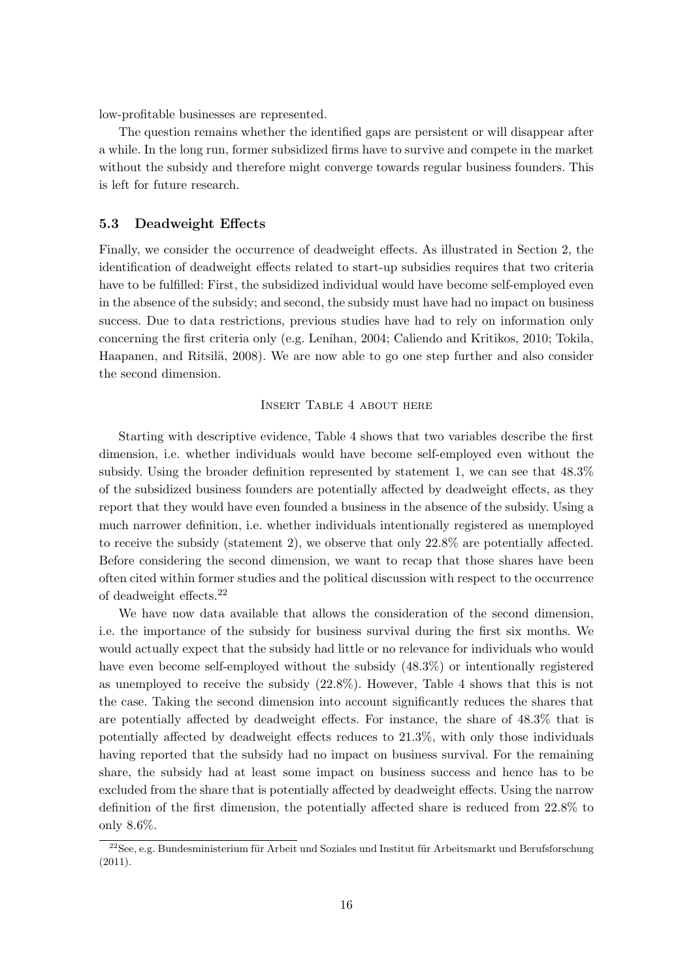low-profitable businesses are represented.

The question remains whether the identified gaps are persistent or will disappear after a while. In the long run, former subsidized firms have to survive and compete in the market without the subsidy and therefore might converge towards regular business founders. This is left for future research.

#### 5.3 Deadweight Effects

Finally, we consider the occurrence of deadweight effects. As illustrated in Section 2, the identification of deadweight effects related to start-up subsidies requires that two criteria have to be fulfilled: First, the subsidized individual would have become self-employed even in the absence of the subsidy; and second, the subsidy must have had no impact on business success. Due to data restrictions, previous studies have had to rely on information only concerning the first criteria only (e.g. Lenihan, 2004; Caliendo and Kritikos, 2010; Tokila, Haapanen, and Ritsilä, 2008). We are now able to go one step further and also consider the second dimension.

#### Insert Table 4 about here

Starting with descriptive evidence, Table 4 shows that two variables describe the first dimension, i.e. whether individuals would have become self-employed even without the subsidy. Using the broader definition represented by statement 1, we can see that 48.3% of the subsidized business founders are potentially affected by deadweight effects, as they report that they would have even founded a business in the absence of the subsidy. Using a much narrower definition, i.e. whether individuals intentionally registered as unemployed to receive the subsidy (statement 2), we observe that only 22.8% are potentially affected. Before considering the second dimension, we want to recap that those shares have been often cited within former studies and the political discussion with respect to the occurrence of deadweight effects.<sup>22</sup>

We have now data available that allows the consideration of the second dimension, i.e. the importance of the subsidy for business survival during the first six months. We would actually expect that the subsidy had little or no relevance for individuals who would have even become self-employed without the subsidy (48.3%) or intentionally registered as unemployed to receive the subsidy (22.8%). However, Table 4 shows that this is not the case. Taking the second dimension into account significantly reduces the shares that are potentially affected by deadweight effects. For instance, the share of 48.3% that is potentially affected by deadweight effects reduces to 21.3%, with only those individuals having reported that the subsidy had no impact on business survival. For the remaining share, the subsidy had at least some impact on business success and hence has to be excluded from the share that is potentially affected by deadweight effects. Using the narrow definition of the first dimension, the potentially affected share is reduced from 22.8% to only 8.6%.

 $22$ See, e.g. Bundesministerium für Arbeit und Soziales und Institut für Arbeitsmarkt und Berufsforschung (2011).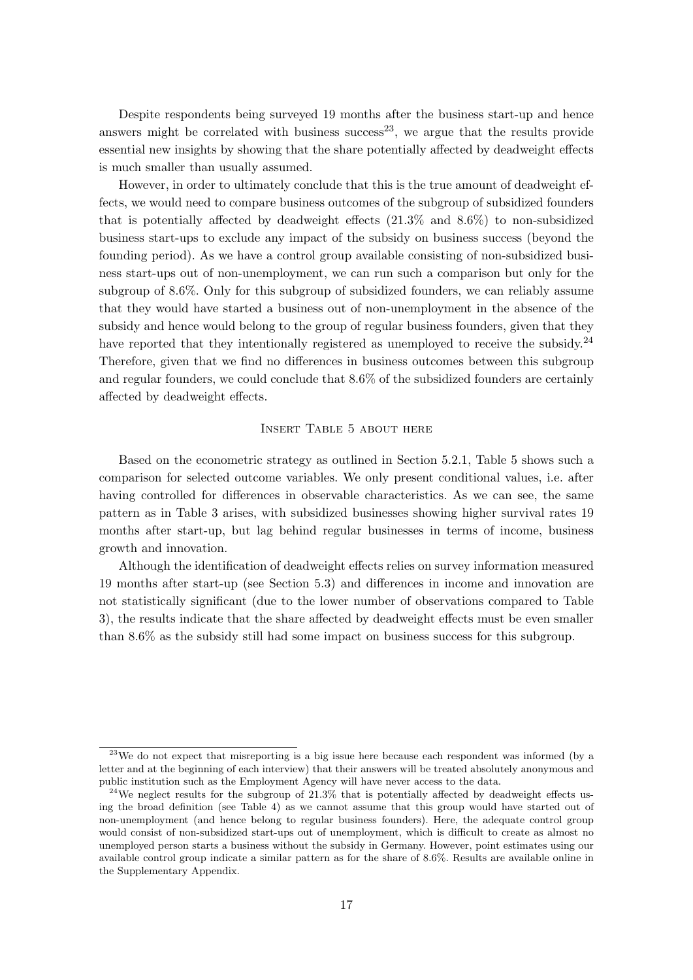Despite respondents being surveyed 19 months after the business start-up and hence answers might be correlated with business success<sup>23</sup>, we argue that the results provide essential new insights by showing that the share potentially affected by deadweight effects is much smaller than usually assumed.

However, in order to ultimately conclude that this is the true amount of deadweight effects, we would need to compare business outcomes of the subgroup of subsidized founders that is potentially affected by deadweight effects (21.3% and 8.6%) to non-subsidized business start-ups to exclude any impact of the subsidy on business success (beyond the founding period). As we have a control group available consisting of non-subsidized business start-ups out of non-unemployment, we can run such a comparison but only for the subgroup of 8.6%. Only for this subgroup of subsidized founders, we can reliably assume that they would have started a business out of non-unemployment in the absence of the subsidy and hence would belong to the group of regular business founders, given that they have reported that they intentionally registered as unemployed to receive the subsidy.<sup>24</sup> Therefore, given that we find no differences in business outcomes between this subgroup and regular founders, we could conclude that 8.6% of the subsidized founders are certainly affected by deadweight effects.

#### Insert Table 5 about here

Based on the econometric strategy as outlined in Section 5.2.1, Table 5 shows such a comparison for selected outcome variables. We only present conditional values, i.e. after having controlled for differences in observable characteristics. As we can see, the same pattern as in Table 3 arises, with subsidized businesses showing higher survival rates 19 months after start-up, but lag behind regular businesses in terms of income, business growth and innovation.

Although the identification of deadweight effects relies on survey information measured 19 months after start-up (see Section 5.3) and differences in income and innovation are not statistically significant (due to the lower number of observations compared to Table 3), the results indicate that the share affected by deadweight effects must be even smaller than 8.6% as the subsidy still had some impact on business success for this subgroup.

 $23$ We do not expect that misreporting is a big issue here because each respondent was informed (by a letter and at the beginning of each interview) that their answers will be treated absolutely anonymous and public institution such as the Employment Agency will have never access to the data.

<sup>&</sup>lt;sup>24</sup>We neglect results for the subgroup of 21.3% that is potentially affected by deadweight effects using the broad definition (see Table 4) as we cannot assume that this group would have started out of non-unemployment (and hence belong to regular business founders). Here, the adequate control group would consist of non-subsidized start-ups out of unemployment, which is difficult to create as almost no unemployed person starts a business without the subsidy in Germany. However, point estimates using our available control group indicate a similar pattern as for the share of 8.6%. Results are available online in the Supplementary Appendix.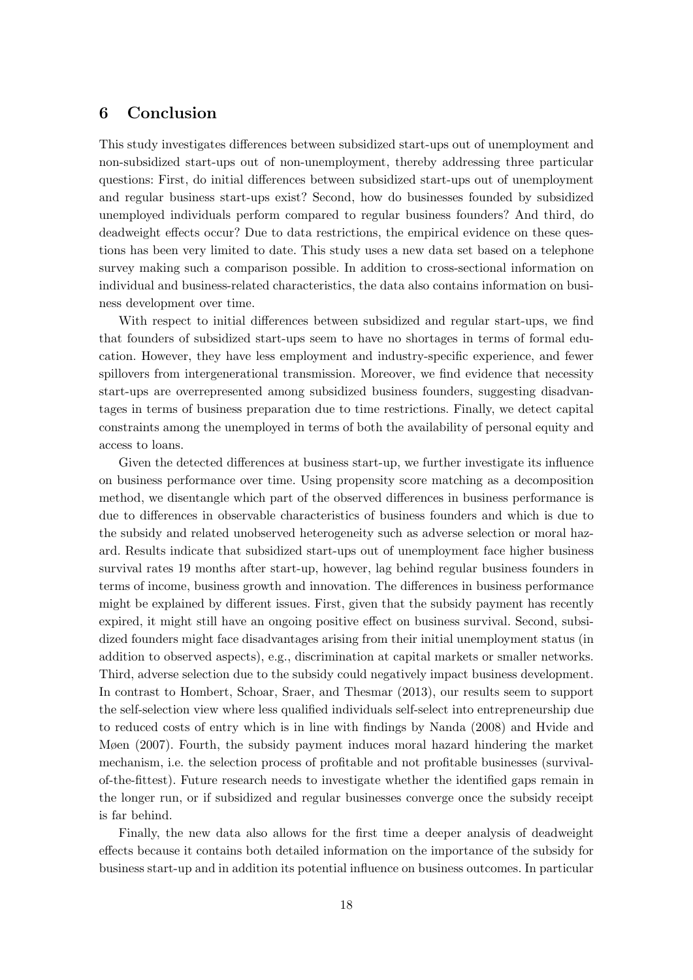### 6 Conclusion

This study investigates differences between subsidized start-ups out of unemployment and non-subsidized start-ups out of non-unemployment, thereby addressing three particular questions: First, do initial differences between subsidized start-ups out of unemployment and regular business start-ups exist? Second, how do businesses founded by subsidized unemployed individuals perform compared to regular business founders? And third, do deadweight effects occur? Due to data restrictions, the empirical evidence on these questions has been very limited to date. This study uses a new data set based on a telephone survey making such a comparison possible. In addition to cross-sectional information on individual and business-related characteristics, the data also contains information on business development over time.

With respect to initial differences between subsidized and regular start-ups, we find that founders of subsidized start-ups seem to have no shortages in terms of formal education. However, they have less employment and industry-specific experience, and fewer spillovers from intergenerational transmission. Moreover, we find evidence that necessity start-ups are overrepresented among subsidized business founders, suggesting disadvantages in terms of business preparation due to time restrictions. Finally, we detect capital constraints among the unemployed in terms of both the availability of personal equity and access to loans.

Given the detected differences at business start-up, we further investigate its influence on business performance over time. Using propensity score matching as a decomposition method, we disentangle which part of the observed differences in business performance is due to differences in observable characteristics of business founders and which is due to the subsidy and related unobserved heterogeneity such as adverse selection or moral hazard. Results indicate that subsidized start-ups out of unemployment face higher business survival rates 19 months after start-up, however, lag behind regular business founders in terms of income, business growth and innovation. The differences in business performance might be explained by different issues. First, given that the subsidy payment has recently expired, it might still have an ongoing positive effect on business survival. Second, subsidized founders might face disadvantages arising from their initial unemployment status (in addition to observed aspects), e.g., discrimination at capital markets or smaller networks. Third, adverse selection due to the subsidy could negatively impact business development. In contrast to Hombert, Schoar, Sraer, and Thesmar (2013), our results seem to support the self-selection view where less qualified individuals self-select into entrepreneurship due to reduced costs of entry which is in line with findings by Nanda (2008) and Hvide and Møen (2007). Fourth, the subsidy payment induces moral hazard hindering the market mechanism, i.e. the selection process of profitable and not profitable businesses (survivalof-the-fittest). Future research needs to investigate whether the identified gaps remain in the longer run, or if subsidized and regular businesses converge once the subsidy receipt is far behind.

Finally, the new data also allows for the first time a deeper analysis of deadweight effects because it contains both detailed information on the importance of the subsidy for business start-up and in addition its potential influence on business outcomes. In particular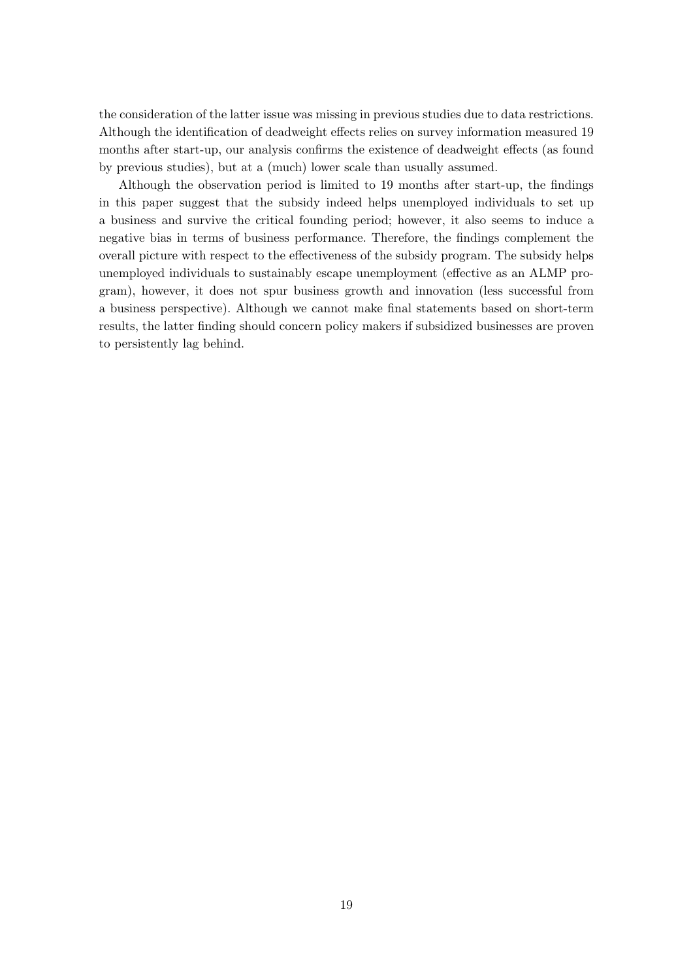the consideration of the latter issue was missing in previous studies due to data restrictions. Although the identification of deadweight effects relies on survey information measured 19 months after start-up, our analysis confirms the existence of deadweight effects (as found by previous studies), but at a (much) lower scale than usually assumed.

Although the observation period is limited to 19 months after start-up, the findings in this paper suggest that the subsidy indeed helps unemployed individuals to set up a business and survive the critical founding period; however, it also seems to induce a negative bias in terms of business performance. Therefore, the findings complement the overall picture with respect to the effectiveness of the subsidy program. The subsidy helps unemployed individuals to sustainably escape unemployment (effective as an ALMP program), however, it does not spur business growth and innovation (less successful from a business perspective). Although we cannot make final statements based on short-term results, the latter finding should concern policy makers if subsidized businesses are proven to persistently lag behind.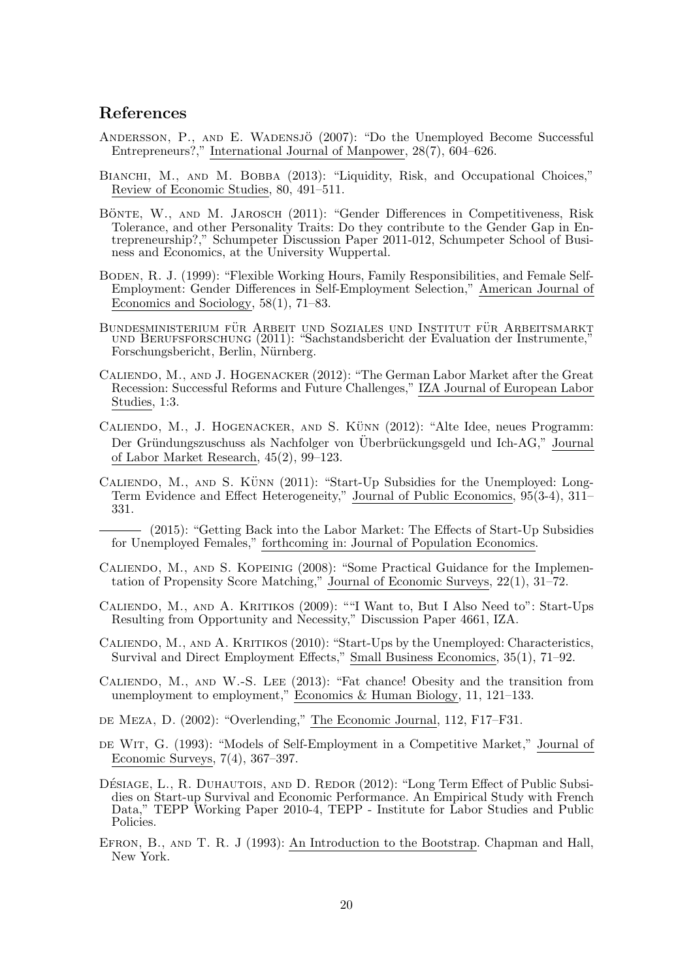### References

- Andersson, P., and E. Wadensjo¨ (2007): "Do the Unemployed Become Successful Entrepreneurs?," International Journal of Manpower, 28(7), 604–626.
- BIANCHI, M., AND M. BOBBA (2013): "Liquidity, Risk, and Occupational Choices," Review of Economic Studies, 80, 491–511.
- BÖNTE, W., AND M. JAROSCH (2011): "Gender Differences in Competitiveness, Risk Tolerance, and other Personality Traits: Do they contribute to the Gender Gap in Entrepreneurship?," Schumpeter Discussion Paper 2011-012, Schumpeter School of Business and Economics, at the University Wuppertal.
- Boden, R. J. (1999): "Flexible Working Hours, Family Responsibilities, and Female Self-Employment: Gender Differences in Self-Employment Selection," American Journal of Economics and Sociology, 58(1), 71–83.
- Bundesministerium für Arbeit und Soziales und Institut für Arbeitsmarkt und Berufsforschung (2011): "Sachstandsbericht der Evaluation der Instrumente," Forschungsbericht, Berlin, Nürnberg.
- Caliendo, M., and J. Hogenacker (2012): "The German Labor Market after the Great Recession: Successful Reforms and Future Challenges," IZA Journal of European Labor Studies, 1:3.
- CALIENDO, M., J. HOGENACKER, AND S. KÜNN  $(2012)$ : "Alte Idee, neues Programm: Der Gründungszuschuss als Nachfolger von Überbrückungsgeld und Ich-AG," Journal of Labor Market Research, 45(2), 99–123.
- CALIENDO, M., AND S. KÜNN  $(2011)$ : "Start-Up Subsidies for the Unemployed: Long-Term Evidence and Effect Heterogeneity," Journal of Public Economics, 95(3-4), 311– 331.
- (2015): "Getting Back into the Labor Market: The Effects of Start-Up Subsidies for Unemployed Females," forthcoming in: Journal of Population Economics.
- Caliendo, M., and S. Kopeinig (2008): "Some Practical Guidance for the Implementation of Propensity Score Matching," Journal of Economic Surveys, 22(1), 31–72.
- CALIENDO, M., AND A. KRITIKOS (2009): ""I Want to, But I Also Need to": Start-Ups Resulting from Opportunity and Necessity," Discussion Paper 4661, IZA.
- Caliendo, M., and A. Kritikos (2010): "Start-Ups by the Unemployed: Characteristics, Survival and Direct Employment Effects," Small Business Economics, 35(1), 71–92.
- Caliendo, M., and W.-S. Lee (2013): "Fat chance! Obesity and the transition from unemployment to employment," Economics & Human Biology, 11, 121–133.
- DE MEZA, D. (2002): "Overlending," The Economic Journal, 112, F17–F31.
- de Wit, G. (1993): "Models of Self-Employment in a Competitive Market," Journal of Economic Surveys, 7(4), 367–397.
- DÉSIAGE, L., R. DUHAUTOIS, AND D. REDOR (2012): "Long Term Effect of Public Subsidies on Start-up Survival and Economic Performance. An Empirical Study with French Data," TEPP Working Paper 2010-4, TEPP - Institute for Labor Studies and Public Policies.
- EFRON, B., AND T. R. J (1993): An Introduction to the Bootstrap. Chapman and Hall, New York.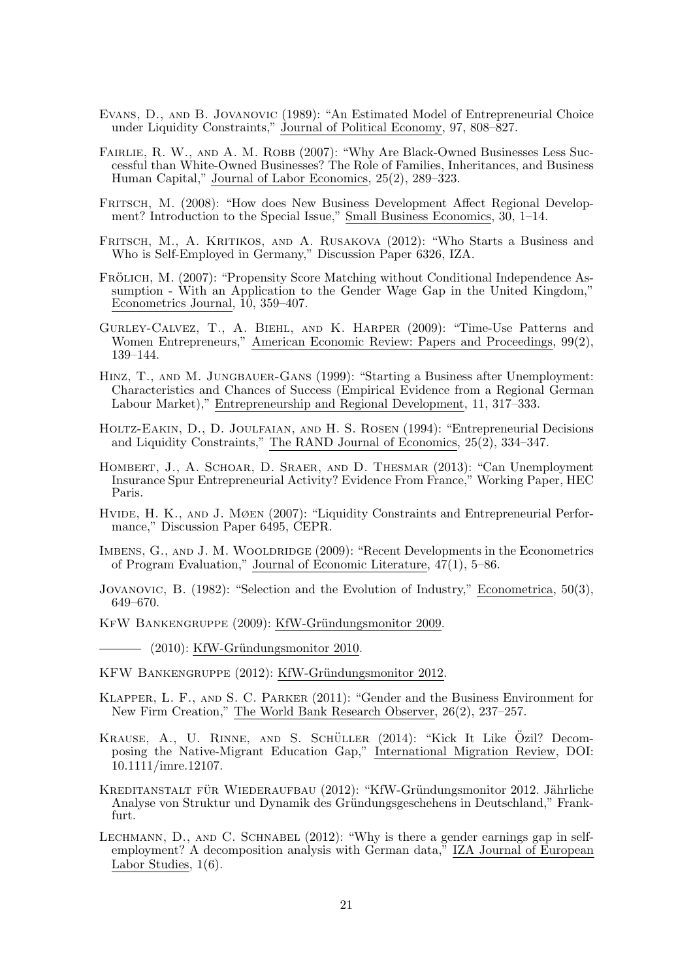- Evans, D., and B. Jovanovic (1989): "An Estimated Model of Entrepreneurial Choice under Liquidity Constraints," Journal of Political Economy, 97, 808–827.
- FAIRLIE, R. W., AND A. M. ROBB (2007): "Why Are Black-Owned Businesses Less Successful than White-Owned Businesses? The Role of Families, Inheritances, and Business Human Capital," Journal of Labor Economics, 25(2), 289–323.
- FRITSCH, M. (2008): "How does New Business Development Affect Regional Development? Introduction to the Special Issue," Small Business Economics, 30, 1–14.
- Fritsch, M., A. Kritikos, and A. Rusakova (2012): "Who Starts a Business and Who is Self-Employed in Germany," Discussion Paper 6326, IZA.
- FRÖLICH, M. (2007): "Propensity Score Matching without Conditional Independence Assumption - With an Application to the Gender Wage Gap in the United Kingdom," Econometrics Journal, 10, 359–407.
- Gurley-Calvez, T., A. Biehl, and K. Harper (2009): "Time-Use Patterns and Women Entrepreneurs," American Economic Review: Papers and Proceedings, 99(2), 139–144.
- HINZ, T., AND M. JUNGBAUER-GANS (1999): "Starting a Business after Unemployment: Characteristics and Chances of Success (Empirical Evidence from a Regional German Labour Market)," Entrepreneurship and Regional Development, 11, 317–333.
- Holtz-Eakin, D., D. Joulfaian, and H. S. Rosen (1994): "Entrepreneurial Decisions and Liquidity Constraints," The RAND Journal of Economics, 25(2), 334–347.
- Hombert, J., A. Schoar, D. Sraer, and D. Thesmar (2013): "Can Unemployment Insurance Spur Entrepreneurial Activity? Evidence From France," Working Paper, HEC Paris.
- HVIDE, H. K., AND J. MØEN (2007): "Liquidity Constraints and Entrepreneurial Performance," Discussion Paper 6495, CEPR.
- IMBENS, G., AND J. M. WOOLDRIDGE (2009): "Recent Developments in the Econometrics of Program Evaluation," Journal of Economic Literature, 47(1), 5–86.
- Jovanovic, B. (1982): "Selection and the Evolution of Industry," Econometrica, 50(3), 649–670.
- KFW BANKENGRUPPE (2009): KfW-Gründungsmonitor 2009.
	- $-$  (2010): KfW-Gründungsmonitor 2010.
- KFW BANKENGRUPPE (2012): KfW-Gründungsmonitor 2012.
- Klapper, L. F., and S. C. Parker (2011): "Gender and the Business Environment for New Firm Creation," The World Bank Research Observer, 26(2), 237–257.
- KRAUSE, A., U. RINNE, AND S. SCHÜLLER (2014): "Kick It Like Ozil? Decomposing the Native-Migrant Education Gap," International Migration Review, DOI: 10.1111/imre.12107.
- KREDITANSTALT FÜR WIEDERAUFBAU (2012): "KfW-Gründungsmonitor 2012. Jährliche Analyse von Struktur und Dynamik des Gründungsgeschehens in Deutschland," Frankfurt.
- LECHMANN, D., AND C. SCHNABEL (2012): "Why is there a gender earnings gap in selfemployment? A decomposition analysis with German data," IZA Journal of European Labor Studies, 1(6).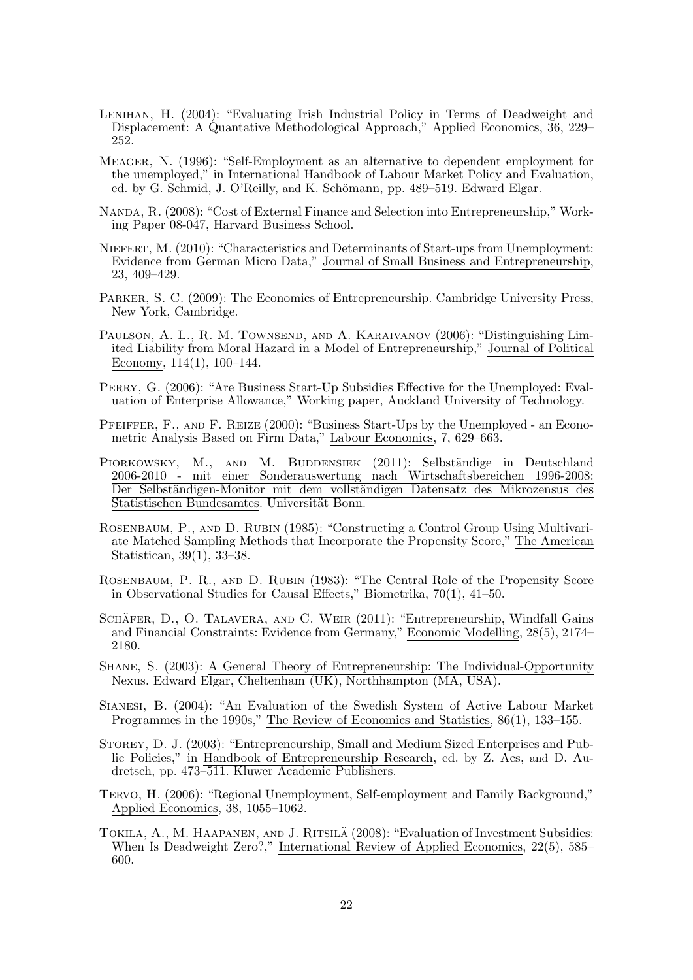- Lenihan, H. (2004): "Evaluating Irish Industrial Policy in Terms of Deadweight and Displacement: A Quantative Methodological Approach," Applied Economics, 36, 229– 252.
- Meager, N. (1996): "Self-Employment as an alternative to dependent employment for the unemployed," in International Handbook of Labour Market Policy and Evaluation, ed. by G. Schmid, J. O'Reilly, and K. Schömann, pp. 489–519. Edward Elgar.
- Nanda, R. (2008): "Cost of External Finance and Selection into Entrepreneurship," Working Paper 08-047, Harvard Business School.
- Niefert, M. (2010): "Characteristics and Determinants of Start-ups from Unemployment: Evidence from German Micro Data," Journal of Small Business and Entrepreneurship, 23, 409–429.
- Parker, S. C. (2009): The Economics of Entrepreneurship. Cambridge University Press, New York, Cambridge.
- PAULSON, A. L., R. M. TOWNSEND, AND A. KARAIVANOV (2006): "Distinguishing Limited Liability from Moral Hazard in a Model of Entrepreneurship," Journal of Political Economy, 114(1), 100–144.
- Perry, G. (2006): "Are Business Start-Up Subsidies Effective for the Unemployed: Evaluation of Enterprise Allowance," Working paper, Auckland University of Technology.
- Pfeiffer, F., and F. Reize (2000): "Business Start-Ups by the Unemployed an Econometric Analysis Based on Firm Data," Labour Economics, 7, 629–663.
- PIORKOWSKY, M., AND M. BUDDENSIEK (2011): Selbständige in Deutschland 2006-2010 - mit einer Sonderauswertung nach Wirtschaftsbereichen 1996-2008: Der Selbständigen-Monitor mit dem vollständigen Datensatz des Mikrozensus des Statistischen Bundesamtes. Universität Bonn.
- ROSENBAUM, P., AND D. RUBIN (1985): "Constructing a Control Group Using Multivariate Matched Sampling Methods that Incorporate the Propensity Score," The American Statistican, 39(1), 33–38.
- Rosenbaum, P. R., and D. Rubin (1983): "The Central Role of the Propensity Score in Observational Studies for Causal Effects," Biometrika, 70(1), 41–50.
- SCHÄFER, D., O. TALAVERA, AND C. WEIR (2011): "Entrepreneurship, Windfall Gains and Financial Constraints: Evidence from Germany," Economic Modelling, 28(5), 2174– 2180.
- Shane, S. (2003): A General Theory of Entrepreneurship: The Individual-Opportunity Nexus. Edward Elgar, Cheltenham (UK), Northhampton (MA, USA).
- Sianesi, B. (2004): "An Evaluation of the Swedish System of Active Labour Market Programmes in the 1990s," The Review of Economics and Statistics, 86(1), 133–155.
- Storey, D. J. (2003): "Entrepreneurship, Small and Medium Sized Enterprises and Public Policies," in Handbook of Entrepreneurship Research, ed. by Z. Acs, and D. Audretsch, pp. 473–511. Kluwer Academic Publishers.
- Tervo, H. (2006): "Regional Unemployment, Self-employment and Family Background," Applied Economics, 38, 1055–1062.
- TOKILA, A., M. HAAPANEN, AND J. RITSILÄ (2008): "Evaluation of Investment Subsidies: When Is Deadweight Zero?," International Review of Applied Economics, 22(5), 585– 600.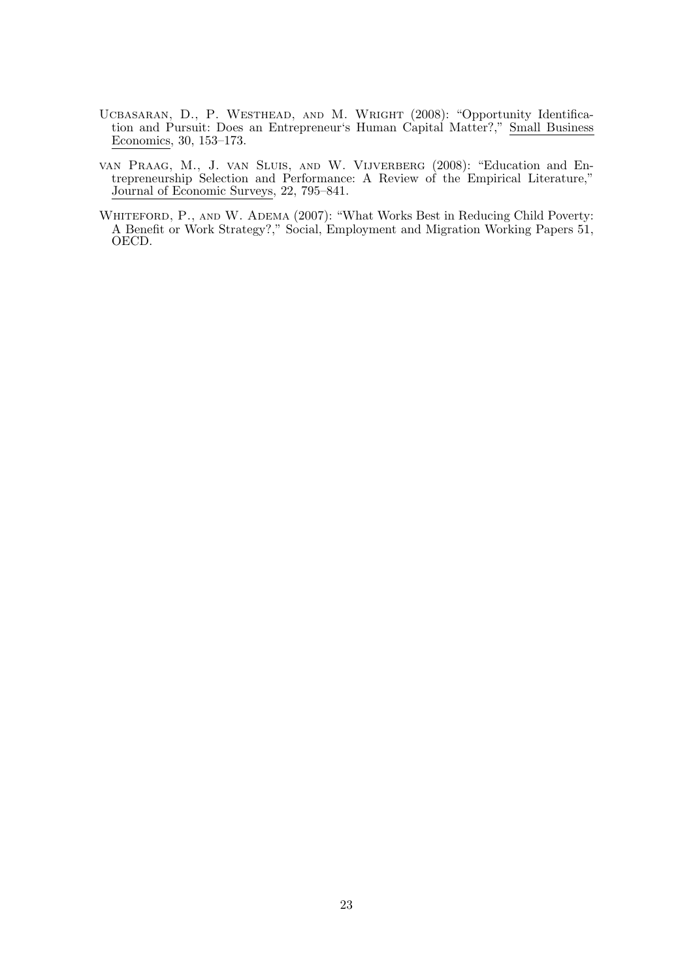- UCBASARAN, D., P. WESTHEAD, AND M. WRIGHT (2008): "Opportunity Identification and Pursuit: Does an Entrepreneur's Human Capital Matter?," Small Business Economics, 30, 153–173.
- van Praag, M., J. van Sluis, and W. Vijverberg (2008): "Education and Entrepreneurship Selection and Performance: A Review of the Empirical Literature," Journal of Economic Surveys, 22, 795–841.
- WHITEFORD, P., AND W. ADEMA (2007): "What Works Best in Reducing Child Poverty: A Benefit or Work Strategy?," Social, Employment and Migration Working Papers 51, OECD.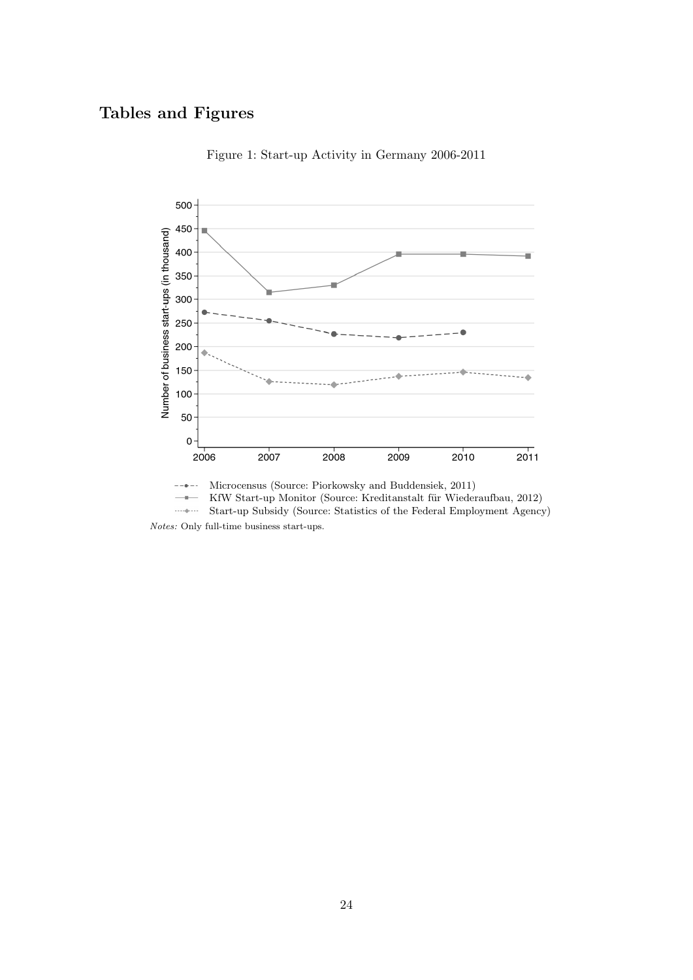## Tables and Figures



Figure 1: Start-up Activity in Germany 2006-2011

KfW Start-up Monitor (Source: Kreditanstalt für Wiederaufbau, 2012)  $-\bullet-$ 

 $\ldots$  .  $\downarrow$ Start-up Subsidy (Source: Statistics of the Federal Employment Agency) Notes: Only full-time business start-ups.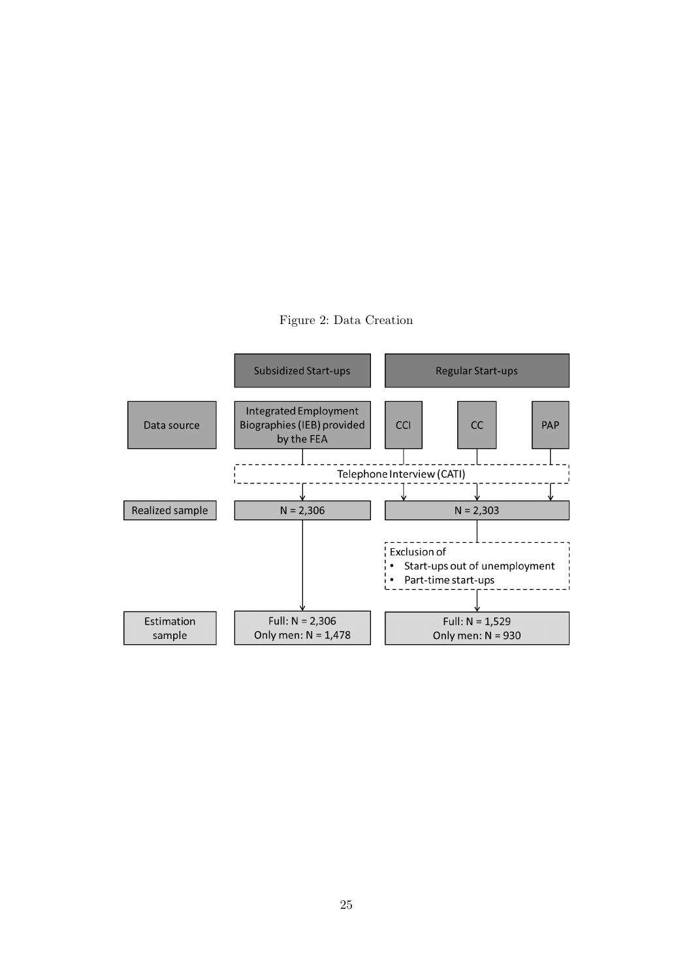

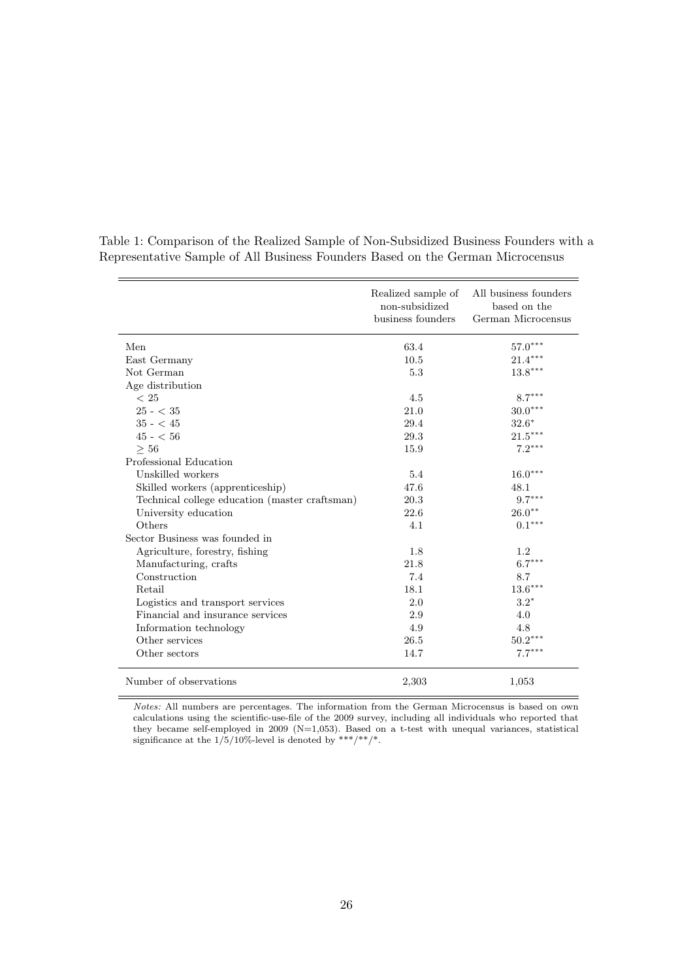|                                                | Realized sample of<br>non-subsidized<br>business founders | All business founders<br>based on the<br>German Microcensus |
|------------------------------------------------|-----------------------------------------------------------|-------------------------------------------------------------|
| Men                                            | 63.4                                                      | $57.0***$                                                   |
| East Germany                                   | 10.5                                                      | $21.4***$                                                   |
| Not German                                     | 5.3                                                       | $13.8***$                                                   |
| Age distribution                               |                                                           |                                                             |
| < 25                                           | 4.5                                                       | $8.7***$                                                    |
| $25 - < 35$                                    | 21.0                                                      | $30.0***$                                                   |
| $35 - 45$                                      | 29.4                                                      | $32.6*$                                                     |
| $45 - 56$                                      | 29.3                                                      | $21.5^{\ast\ast\ast}$                                       |
| > 56                                           | 15.9                                                      | $7.2***$                                                    |
| Professional Education                         |                                                           |                                                             |
| Unskilled workers                              | 5.4                                                       | $16.0***$                                                   |
| Skilled workers (apprenticeship)               | 47.6                                                      | 48.1                                                        |
| Technical college education (master craftsman) | 20.3                                                      | $9.7***$                                                    |
| University education                           | 22.6                                                      | $26.0^{\ast\ast}$                                           |
| Others                                         | 4.1                                                       | $0.1***$                                                    |
| Sector Business was founded in                 |                                                           |                                                             |
| Agriculture, forestry, fishing                 | 1.8                                                       | 1.2                                                         |
| Manufacturing, crafts                          | 21.8                                                      | $6.7***$                                                    |
| Construction                                   | 7.4                                                       | 8.7                                                         |
| Retail                                         | 18.1                                                      | $13.6***$                                                   |
| Logistics and transport services               | 2.0                                                       | $3.2*$                                                      |
| Financial and insurance services               | 2.9                                                       | 4.0                                                         |
| Information technology                         | 4.9                                                       | 4.8                                                         |
| Other services                                 | 26.5                                                      | $50.2***$                                                   |
| Other sectors                                  | 14.7                                                      | $7.7***$                                                    |
| Number of observations                         | 2,303                                                     | 1,053                                                       |

Table 1: Comparison of the Realized Sample of Non-Subsidized Business Founders with a Representative Sample of All Business Founders Based on the German Microcensus

Notes: All numbers are percentages. The information from the German Microcensus is based on own calculations using the scientific-use-file of the 2009 survey, including all individuals who reported that they became self-employed in 2009 ( $N=1,053$ ). Based on a t-test with unequal variances, statistical significance at the  $1/5/10\%$ -level is denoted by \*\*\*/\*\*/\*.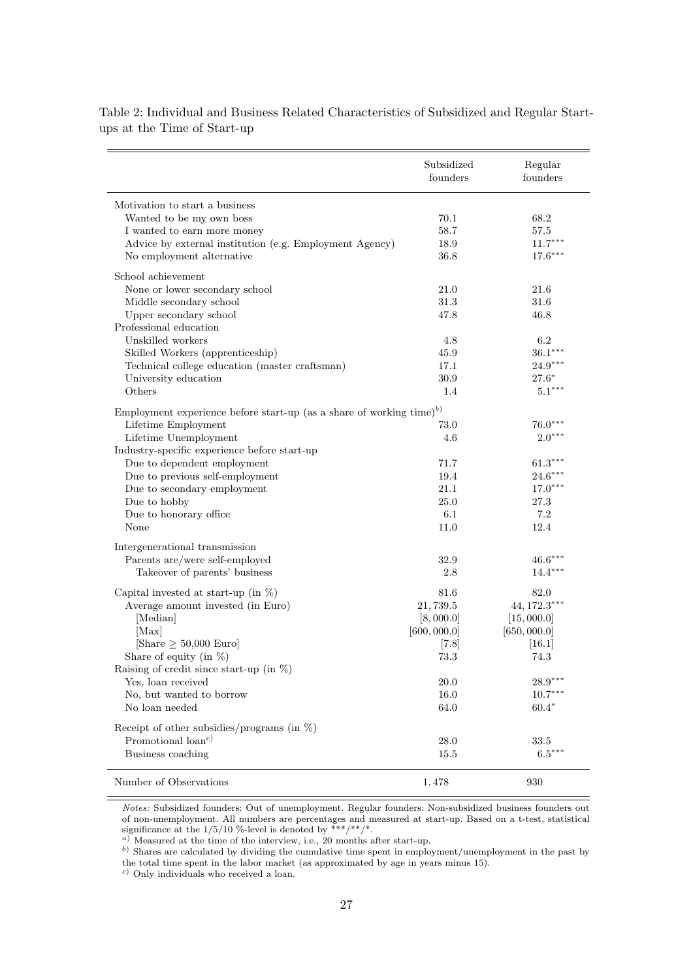|                                                                                  | Subsidized<br>founders | Regular<br>founders |
|----------------------------------------------------------------------------------|------------------------|---------------------|
| Motivation to start a business                                                   |                        |                     |
| Wanted to be my own boss                                                         | 70.1                   | 68.2                |
| I wanted to earn more money                                                      | 58.7                   | 57.5                |
| Advice by external institution (e.g. Employment Agency)                          | 18.9                   | $11.7***$           |
| No employment alternative                                                        | 36.8                   | $17.6***$           |
| School achievement                                                               |                        |                     |
| None or lower secondary school                                                   | 21.0                   | 21.6                |
| Middle secondary school                                                          | 31.3                   | 31.6                |
| Upper secondary school                                                           | 47.8                   | 46.8                |
| Professional education                                                           |                        |                     |
| Unskilled workers                                                                | 4.8                    | 6.2                 |
| Skilled Workers (apprenticeship)                                                 | 45.9                   | $36.1***$           |
| Technical college education (master craftsman)                                   | 17.1                   | $24.9***$           |
| University education                                                             | 30.9                   | $27.6*$             |
| Others                                                                           | 1.4                    | $5.1***$            |
| Employment experience before start-up (as a share of working time) <sup>b)</sup> |                        |                     |
| Lifetime Employment                                                              | 73.0                   | $76.0***$           |
| Lifetime Unemployment                                                            | 4.6                    | $2.0***$            |
| Industry-specific experience before start-up                                     |                        |                     |
| Due to dependent employment                                                      | 71.7                   | $61.3***$           |
| Due to previous self-employment                                                  | 19.4                   | $24.6***$           |
| Due to secondary employment                                                      | 21.1                   | $17.0***$           |
| Due to hobby                                                                     | 25.0                   | 27.3                |
| Due to honorary office                                                           | 6.1                    | 7.2                 |
| None                                                                             | 11.0                   | 12.4                |
| Intergenerational transmission                                                   |                        |                     |
| Parents are/were self-employed                                                   | 32.9                   | $46.6***$           |
| Takeover of parents' business                                                    | $2.8\,$                | $14.4***$           |
| Capital invested at start-up (in $\%$ )                                          | 81.6                   | 82.0                |
| Average amount invested (in Euro)                                                | 21,739.5               | $44,172.3***$       |
| [Median]                                                                         | [8,000.0]              | [15,000.0]          |
| [Max]                                                                            | [600, 000.0]           | [650, 000.0]        |
| [Share $\geq 50,000$ Euro]                                                       | [7.8]                  | [16.1]              |
| Share of equity (in $\%$ )                                                       | 73.3                   | 74.3                |
| Raising of credit since start-up (in $\% )$                                      |                        |                     |
| Yes, loan received                                                               | 20.0                   | $28.9***$           |
| No, but wanted to borrow                                                         | 16.0                   | $10.7***$           |
| No loan needed                                                                   | 64.0                   | $60.4*$             |
| Receipt of other subsidies/programs (in $\%$ )                                   |                        |                     |
| Promotional $\{$ loan <sup>c</sup> $)$                                           | 28.0                   | 33.5                |
| Business coaching                                                                | 15.5                   | $6.5***$            |
|                                                                                  |                        |                     |
| Number of Observations                                                           | 1,478                  | 930                 |

Table 2: Individual and Business Related Characteristics of Subsidized and Regular Startups at the Time of Start-up

Notes: Subsidized founders: Out of unemployment. Regular founders: Non-subsidized business founders out of non-unemployment. All numbers are percentages and measured at start-up. Based on a t-test, statistical significance at the  $1/5/10$  %-level is denoted by \*\*\*/\*\*/\*.

<sup>a</sup>) Measured at the time of the interview, i.e., 20 months after start-up.

b) Shares are calculated by dividing the cumulative time spent in employment/unemployment in the past by the total time spent in the labor market (as approximated by age in years minus 15).

<sup>c</sup>) Only individuals who received a loan.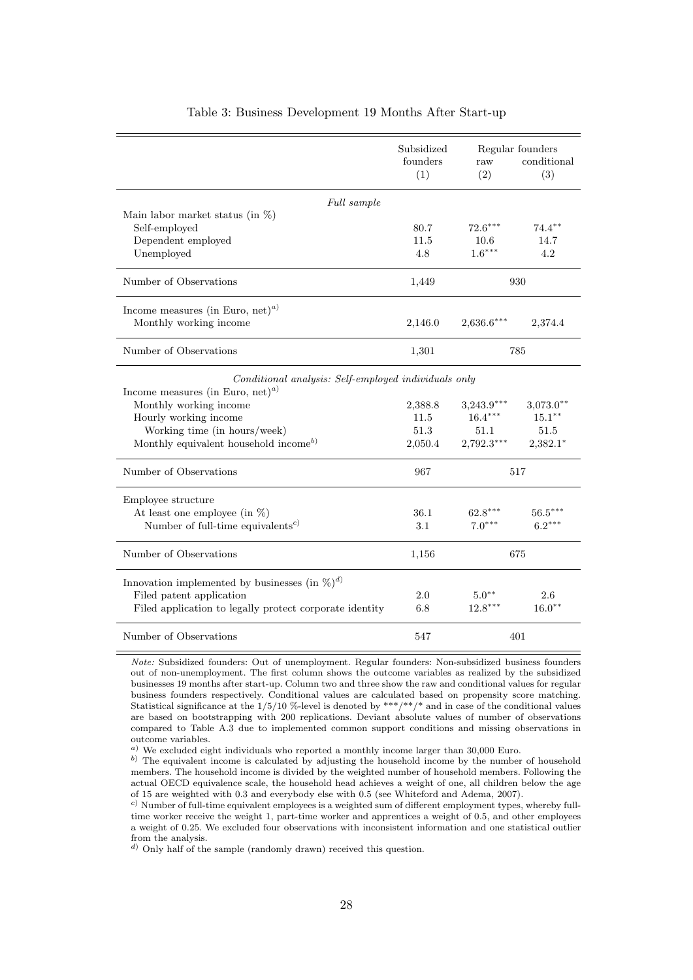|                                                         | Subsidized<br>founders<br>(1) | raw<br>(2)   | Regular founders<br>conditional<br>(3) |
|---------------------------------------------------------|-------------------------------|--------------|----------------------------------------|
| Full sample                                             |                               |              |                                        |
| Main labor market status (in $\%$ )                     |                               |              |                                        |
| Self-employed                                           | 80.7                          | $72.6***$    | $74.4***$                              |
| Dependent employed                                      | 11.5                          | 10.6         | 14.7                                   |
| Unemployed                                              | 4.8                           | $1.6***$     | 4.2                                    |
| Number of Observations                                  | 1,449                         |              | 930                                    |
| Income measures (in Euro, net) <sup><i>a</i>)</sup>     |                               |              |                                        |
| Monthly working income                                  | 2,146.0                       | $2,636.6***$ | 2,374.4                                |
| Number of Observations                                  | 1,301                         |              | 785                                    |
| Conditional analysis: Self-employed individuals only    |                               |              |                                        |
| Income measures (in Euro, net) <sup><i>a</i>)</sup>     |                               |              |                                        |
| Monthly working income                                  | 2,388.8                       | $3,243.9***$ | $3,073.0**$                            |
| Hourly working income                                   | 11.5                          | $16.4***$    | $15.1***$                              |
| Working time (in hours/week)                            | 51.3                          | 51.1         | $51.5\,$                               |
| Monthly equivalent household income <sup>b)</sup>       | 2,050.4                       | $2,792.3***$ | $2,382.1*$                             |
| Number of Observations                                  | 967                           |              | 517                                    |
| Employee structure                                      |                               |              |                                        |
| At least one employee (in $\%$ )                        | $36.1\,$                      | $62.8***$    | $56.5***$                              |
| Number of full-time equivalents <sup>c)</sup>           | 3.1                           | $7.0***$     | $6.2***$                               |
| Number of Observations                                  | 1,156                         |              | 675                                    |
| Innovation implemented by businesses (in $\%)^{d}$ )    |                               |              |                                        |
| Filed patent application                                | 2.0                           | $5.0**$      | 2.6                                    |
| Filed application to legally protect corporate identity | 6.8                           | $12.8***$    | $16.0**$                               |
| Number of Observations                                  | 547                           |              | 401                                    |

#### Table 3: Business Development 19 Months After Start-up

Note: Subsidized founders: Out of unemployment. Regular founders: Non-subsidized business founders out of non-unemployment. The first column shows the outcome variables as realized by the subsidized businesses 19 months after start-up. Column two and three show the raw and conditional values for regular business founders respectively. Conditional values are calculated based on propensity score matching. Statistical significance at the  $1/5/10$  %-level is denoted by \*\*\*/\*\*/\* and in case of the conditional values are based on bootstrapping with 200 replications. Deviant absolute values of number of observations compared to Table A.3 due to implemented common support conditions and missing observations in outcome variables.

 $^{\,a)}$  We excluded eight individuals who reported a monthly income larger than 30,000 Euro.

b) The equivalent income is calculated by adjusting the household income by the number of household members. The household income is divided by the weighted number of household members. Following the actual OECD equivalence scale, the household head achieves a weight of one, all children below the age of 15 are weighted with 0.3 and everybody else with 0.5 (see Whiteford and Adema, 2007).

 $c)$  Number of full-time equivalent employees is a weighted sum of different employment types, whereby fulltime worker receive the weight 1, part-time worker and apprentices a weight of 0.5, and other employees a weight of 0.25. We excluded four observations with inconsistent information and one statistical outlier from the analysis.

 $^{d)}$  Only half of the sample (randomly drawn) received this question.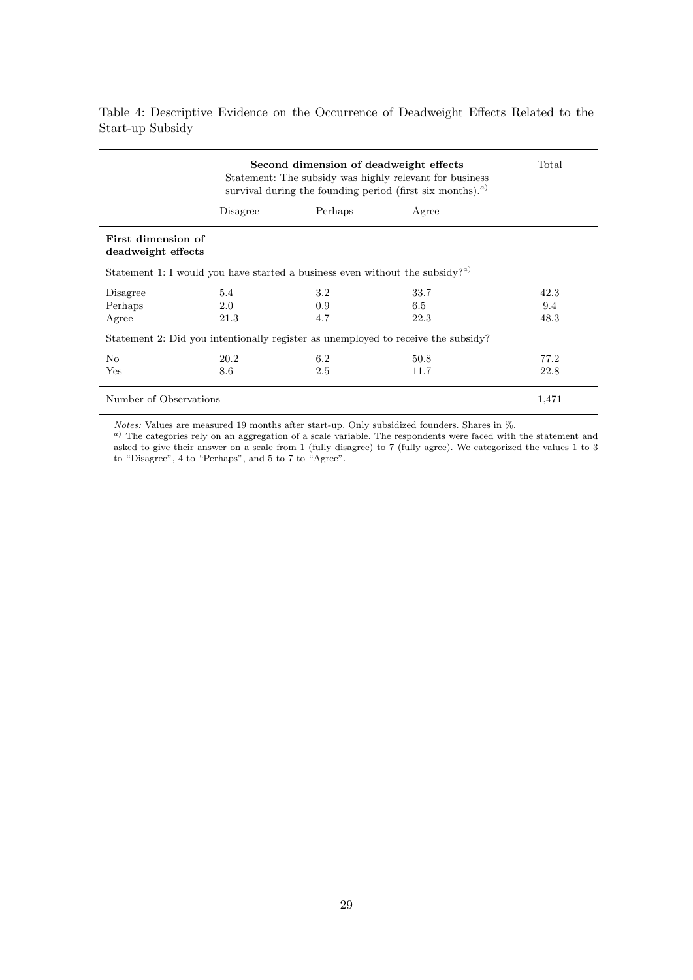|                                                                                                 |          | Second dimension of deadweight effects<br>Statement: The subsidy was highly relevant for business<br>survival during the founding period (first six months). <sup><i>a</i>)</sup> |                                                                                   | Total |
|-------------------------------------------------------------------------------------------------|----------|-----------------------------------------------------------------------------------------------------------------------------------------------------------------------------------|-----------------------------------------------------------------------------------|-------|
|                                                                                                 | Disagree | Perhaps                                                                                                                                                                           | Agree                                                                             |       |
| First dimension of<br>deadweight effects                                                        |          |                                                                                                                                                                                   |                                                                                   |       |
| Statement 1: I would you have started a business even without the subsidy? <sup><i>a</i>)</sup> |          |                                                                                                                                                                                   |                                                                                   |       |
| Disagree                                                                                        | 5.4      | 3.2                                                                                                                                                                               | 33.7                                                                              | 42.3  |
|                                                                                                 | 2.0      | 0.9                                                                                                                                                                               | 6.5                                                                               |       |
|                                                                                                 |          |                                                                                                                                                                                   |                                                                                   | 9.4   |
| Perhaps<br>Agree                                                                                | 21.3     | 4.7                                                                                                                                                                               | 22.3                                                                              | 48.3  |
|                                                                                                 |          |                                                                                                                                                                                   | Statement 2: Did you intentionally register as unemployed to receive the subsidy? |       |
| N <sub>o</sub>                                                                                  | 20.2     | 6.2                                                                                                                                                                               | 50.8                                                                              | 77.2  |
| Yes                                                                                             | 8.6      | 2.5                                                                                                                                                                               | 11.7                                                                              | 22.8  |

Table 4: Descriptive Evidence on the Occurrence of Deadweight Effects Related to the Start-up Subsidy

Notes: Values are measured 19 months after start-up. Only subsidized founders. Shares in %.

 $a)$  The categories rely on an aggregation of a scale variable. The respondents were faced with the statement and asked to give their answer on a scale from 1 (fully disagree) to 7 (fully agree). We categorized the values 1 to 3 to "Disagree", 4 to "Perhaps", and 5 to 7 to "Agree".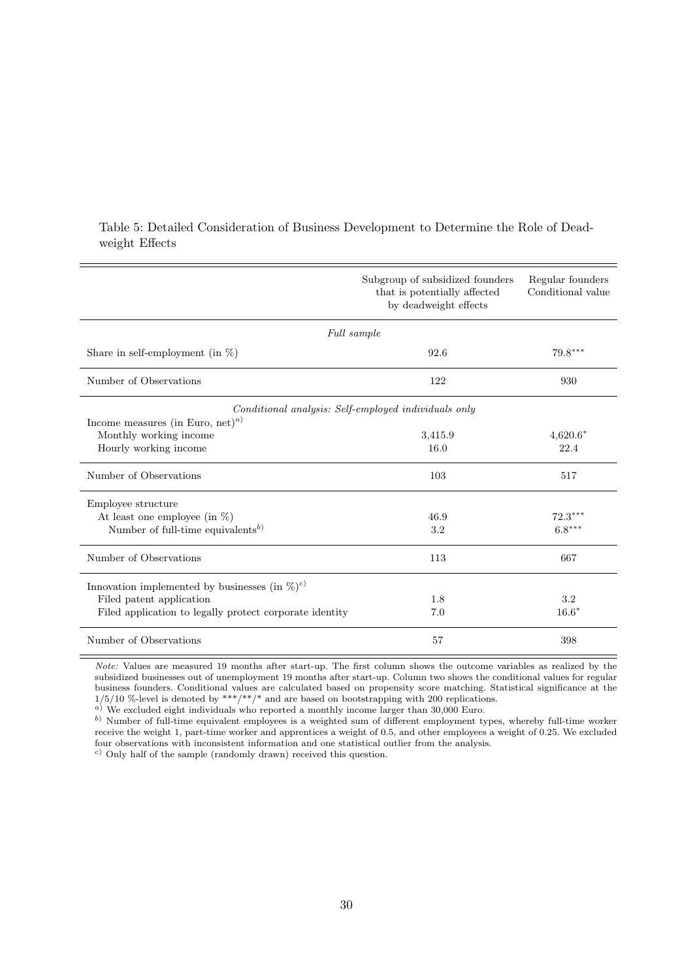|                                                               | Subgroup of subsidized founders<br>that is potentially affected<br>by deadweight effects | Regular founders<br>Conditional value |
|---------------------------------------------------------------|------------------------------------------------------------------------------------------|---------------------------------------|
|                                                               | Full sample                                                                              |                                       |
| Share in self-employment (in $\%$ )                           | 92.6                                                                                     | $79.8***$                             |
| Number of Observations                                        | 122                                                                                      | 930                                   |
|                                                               | Conditional analysis: Self-employed individuals only                                     |                                       |
| Income measures (in Euro, net) <sup><i>a</i>)</sup>           |                                                                                          |                                       |
| Monthly working income                                        | 3,415.9                                                                                  | $4,620.6*$                            |
| Hourly working income                                         | 16.0                                                                                     | 22.4                                  |
| Number of Observations                                        | 103                                                                                      | 517                                   |
| Employee structure                                            |                                                                                          |                                       |
| At least one employee (in $\%$ )                              | 46.9                                                                                     | $72.3***$                             |
| Number of full-time equivalents <sup>b)</sup>                 | 3.2                                                                                      | $6.8***$                              |
| Number of Observations                                        | 113                                                                                      | 667                                   |
| Innovation implemented by businesses (in $\%$ ) <sup>c)</sup> |                                                                                          |                                       |
| Filed patent application                                      | 1.8                                                                                      | 3.2                                   |
| Filed application to legally protect corporate identity       | 7.0                                                                                      | $16.6*$                               |
| Number of Observations                                        | 57                                                                                       | 398                                   |

### Table 5: Detailed Consideration of Business Development to Determine the Role of Deadweight Effects

Note: Values are measured 19 months after start-up. The first column shows the outcome variables as realized by the subsidized businesses out of unemployment 19 months after start-up. Column two shows the conditional values for regular business founders. Conditional values are calculated based on propensity score matching. Statistical significance at the  $1/5/10$  %-level is denoted by \*\*\*/\*\*/\* and are based on bootstrapping with 200 replications.

 $a)$  We excluded eight individuals who reported a monthly income larger than 30,000 Euro.

b) Number of full-time equivalent employees is a weighted sum of different employment types, whereby full-time worker receive the weight 1, part-time worker and apprentices a weight of 0.5, and other employees a weight of 0.25. We excluded four observations with inconsistent information and one statistical outlier from the analysis.

 $c)$  Only half of the sample (randomly drawn) received this question.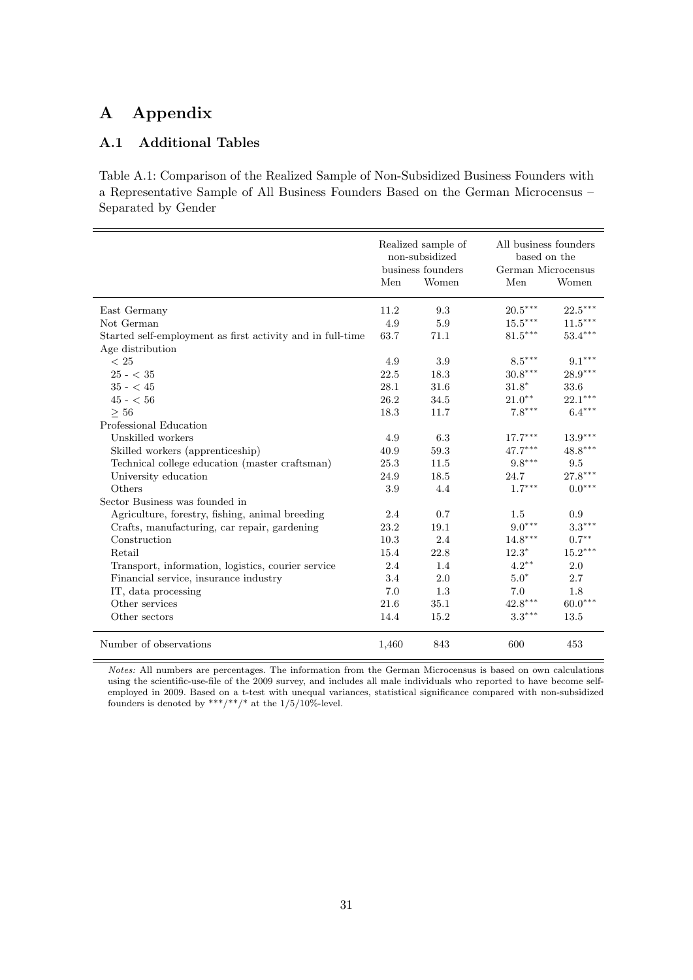## A Appendix

### A.1 Additional Tables

Table A.1: Comparison of the Realized Sample of Non-Subsidized Business Founders with a Representative Sample of All Business Founders Based on the German Microcensus – Separated by Gender

|                                                            | Realized sample of<br>non-subsidized<br>business founders |       | All business founders<br>based on the<br>German Microcensus |                       |
|------------------------------------------------------------|-----------------------------------------------------------|-------|-------------------------------------------------------------|-----------------------|
|                                                            | Men                                                       | Women | Men                                                         | Women                 |
| East Germany                                               | 11.2                                                      | 9.3   | $20.5^{\ast\ast\ast}$                                       | $22.5^{\ast\ast\ast}$ |
| Not German                                                 | 4.9                                                       | 5.9   | $15.5^{\ast\ast\ast}$                                       | $11.5^{\ast\ast\ast}$ |
| Started self-employment as first activity and in full-time | 63.7                                                      | 71.1  | $81.5***$                                                   | $53.4***$             |
| Age distribution                                           |                                                           |       |                                                             |                       |
| $<\,25$                                                    | 4.9                                                       | 3.9   | $8.5***$                                                    | $9.1^{\ast\ast\ast}$  |
| $25 - < 35$                                                | 22.5                                                      | 18.3  | $30.8^{\ast\ast\ast}$                                       | $28.9***$             |
| $35 - 45$                                                  | 28.1                                                      | 31.6  | $31.8*$                                                     | 33.6                  |
| $45 - 56$                                                  | 26.2                                                      | 34.5  | $21.0***$                                                   | $22.1***$             |
| $\geq 56$                                                  | 18.3                                                      | 11.7  | $7.8***$                                                    | $6.4***$              |
| Professional Education                                     |                                                           |       |                                                             |                       |
| Unskilled workers                                          | 4.9                                                       | 6.3   | $17.7***$                                                   | $13.9***$             |
| Skilled workers (apprenticeship)                           | 40.9                                                      | 59.3  | $47.7^{\ast\ast\ast}$                                       | $48.8***$             |
| Technical college education (master craftsman)             | 25.3                                                      | 11.5  | $9.8***$                                                    | $\,9.5$               |
| University education                                       | 24.9                                                      | 18.5  | 24.7                                                        | $27.8***$             |
| Others                                                     | 3.9                                                       | 4.4   | $1.7***$                                                    | $0.0***$              |
| Sector Business was founded in                             |                                                           |       |                                                             |                       |
| Agriculture, forestry, fishing, animal breeding            | 2.4                                                       | 0.7   | 1.5                                                         | 0.9                   |
| Crafts, manufacturing, car repair, gardening               | 23.2                                                      | 19.1  | $9.0***$                                                    | $3.3***$              |
| Construction                                               | 10.3                                                      | 2.4   | $14.8^{\ast\ast\ast}$                                       | $0.7***$              |
| Retail                                                     | 15.4                                                      | 22.8  | $12.3*$                                                     | $15.2***$             |
| Transport, information, logistics, courier service         | 2.4                                                       | 1.4   | $4.2***$                                                    | 2.0                   |
| Financial service, insurance industry                      | 3.4                                                       | 2.0   | $5.0*$                                                      | 2.7                   |
| IT, data processing                                        | 7.0                                                       | 1.3   | 7.0                                                         | 1.8                   |
| Other services                                             | 21.6                                                      | 35.1  | $42.8^{\ast\ast\ast}$                                       | $60.0***$             |
| Other sectors                                              | 14.4                                                      | 15.2  | $3.3***$                                                    | 13.5                  |
| Number of observations                                     | 1,460                                                     | 843   | 600                                                         | 453                   |

Notes: All numbers are percentages. The information from the German Microcensus is based on own calculations using the scientific-use-file of the 2009 survey, and includes all male individuals who reported to have become selfemployed in 2009. Based on a t-test with unequal variances, statistical significance compared with non-subsidized founders is denoted by \*\*\*/\*\*/\* at the  $1/5/10\%$ -level.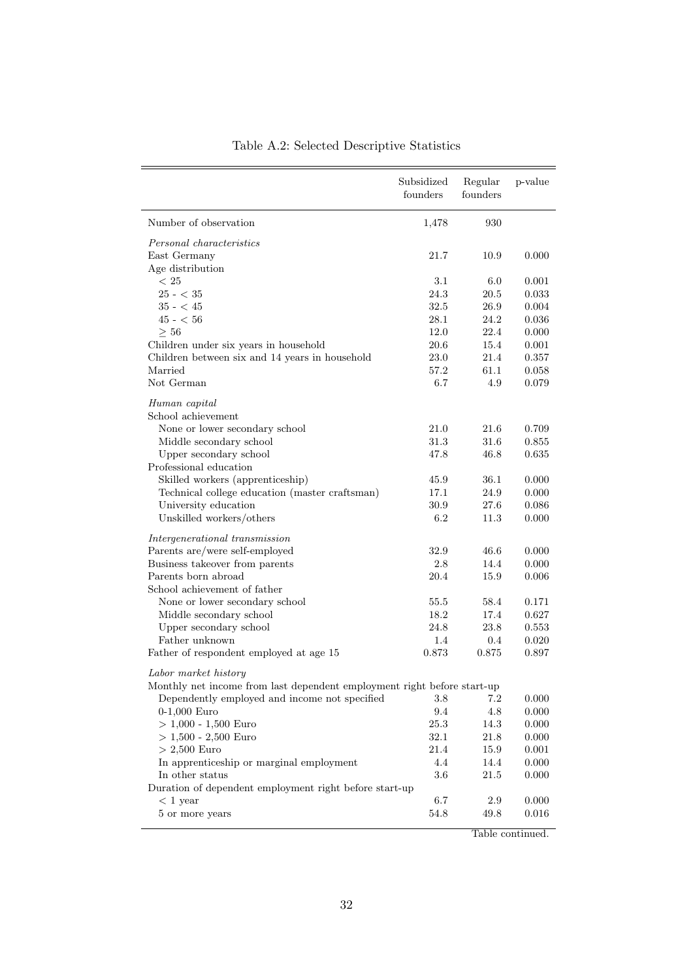|                                                                         | Subsidized<br>founders | Regular<br>founders | p-value        |
|-------------------------------------------------------------------------|------------------------|---------------------|----------------|
| Number of observation                                                   | 1,478                  | 930                 |                |
| Personal characteristics                                                |                        |                     |                |
| East Germany                                                            | 21.7                   | 10.9                | 0.000          |
| Age distribution                                                        |                        |                     |                |
| < 25                                                                    | 3.1                    | 6.0                 | 0.001          |
| $25 - < 35$                                                             | 24.3                   | 20.5                | 0.033          |
| $35 - 45$                                                               | 32.5                   | 26.9                | 0.004          |
| $45 - 56$                                                               | 28.1                   | 24.2                | 0.036          |
| >56                                                                     | 12.0                   | 22.4                | 0.000          |
| Children under six years in household                                   | 20.6                   | 15.4                | 0.001          |
| Children between six and 14 years in household                          | $23.0\,$               | 21.4                | 0.357          |
| Married                                                                 | 57.2                   | 61.1                | 0.058          |
| Not German                                                              | 6.7                    | 4.9                 | 0.079          |
| Human capital                                                           |                        |                     |                |
| School achievement                                                      |                        |                     |                |
| None or lower secondary school                                          | 21.0                   | 21.6                | 0.709          |
| Middle secondary school                                                 | 31.3                   | 31.6                | 0.855          |
| Upper secondary school                                                  | 47.8                   | 46.8                | 0.635          |
| Professional education                                                  |                        |                     |                |
| Skilled workers (apprenticeship)                                        | 45.9                   | 36.1                | 0.000          |
| Technical college education (master craftsman)                          | 17.1                   | 24.9                | 0.000          |
| University education<br>Unskilled workers/others                        | 30.9<br>6.2            | 27.6<br>11.3        | 0.086<br>0.000 |
|                                                                         |                        |                     |                |
| Intergenerational transmission                                          |                        |                     |                |
| Parents are/were self-employed                                          | 32.9                   | 46.6                | 0.000          |
| Business takeover from parents                                          | 2.8                    | 14.4                | 0.000          |
| Parents born abroad                                                     | 20.4                   | 15.9                | 0.006          |
| School achievement of father                                            |                        |                     |                |
| None or lower secondary school                                          | 55.5                   | 58.4                | 0.171          |
| Middle secondary school                                                 | 18.2                   | 17.4                | 0.627          |
| Upper secondary school                                                  | 24.8                   | 23.8                | 0.553          |
| Father unknown                                                          | 1.4                    | 0.4                 | 0.020          |
| Father of respondent employed at age 15                                 | 0.873                  | 0.875               | 0.897          |
| Labor market history                                                    |                        |                     |                |
| Monthly net income from last dependent employment right before start-up |                        |                     |                |
| Dependently employed and income not specified                           | $3.8\,$                | 7.2                 | 0.000          |
| $0-1,000$ Euro                                                          | 9.4                    | 4.8                 | 0.000          |
| $> 1,000 - 1,500$ Euro                                                  | 25.3                   | 14.3                | 0.000          |
| $> 1,500 - 2,500$ Euro                                                  | 32.1                   | 21.8                | 0.000          |
| $> 2,500$ Euro                                                          | 21.4                   | 15.9                | 0.001          |
| In apprenticeship or marginal employment                                | 4.4                    | 14.4                | 0.000          |
| In other status                                                         | 3.6                    | 21.5                | 0.000          |
| Duration of dependent employment right before start-up                  |                        |                     |                |
| $< 1$ year                                                              | 6.7                    | $2.9\,$             | 0.000          |
| 5 or more years                                                         | $54.8\,$               | 49.8                | 0.016          |
|                                                                         |                        |                     |                |

## Table A.2: Selected Descriptive Statistics

Table continued.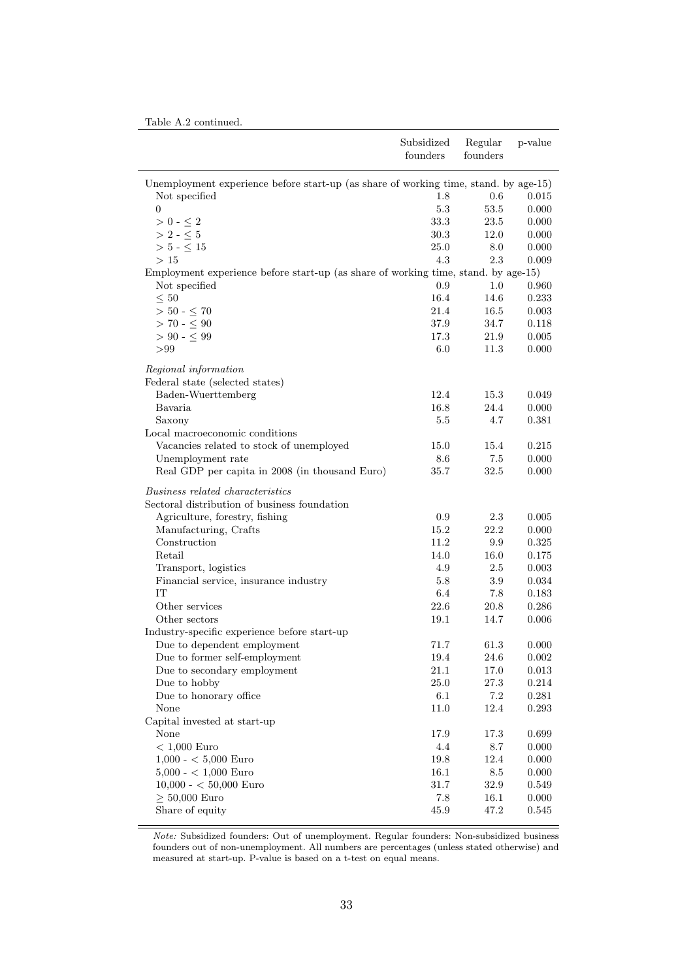| Table A.2 continued. |
|----------------------|
|----------------------|

|                                                                                      | Subsidized<br>founders | Regular<br>founders | p-value   |
|--------------------------------------------------------------------------------------|------------------------|---------------------|-----------|
| Unemployment experience before start-up (as share of working time, stand. by age-15) |                        |                     |           |
| Not specified                                                                        | 1.8                    | 0.6                 | 0.015     |
| $\overline{0}$                                                                       | $5.3\,$                | 53.5                | 0.000     |
| $>0$ - $\leq 2$                                                                      | 33.3                   | 23.5                | 0.000     |
| $>$ 2 - $\leq$ 5                                                                     | 30.3                   | 12.0                | 0.000     |
| $> 5 - \leq 15$                                                                      | 25.0                   | 8.0                 | 0.000     |
| >15                                                                                  | 4.3                    | 2.3                 | 0.009     |
| Employment experience before start-up (as share of working time, stand. by age-15)   |                        |                     |           |
| Not specified                                                                        | 0.9                    | 1.0                 | 0.960     |
| $\leq 50$                                                                            | 16.4                   | 14.6                | 0.233     |
| $>$ 50 - $\leq$ 70                                                                   | 21.4                   | 16.5                | 0.003     |
| $> 70 - \leq 90$                                                                     | 37.9                   | 34.7                | 0.118     |
| $> 90 - 5.99$                                                                        | 17.3                   | 21.9                | 0.005     |
| > 99                                                                                 | $6.0\,$                | 11.3                | 0.000     |
| Regional information                                                                 |                        |                     |           |
| Federal state (selected states)                                                      |                        |                     |           |
| Baden-Wuerttemberg                                                                   | 12.4                   | 15.3                | 0.049     |
| Bavaria                                                                              | 16.8                   | 24.4                | 0.000     |
| Saxony                                                                               | $5.5\,$                | 4.7                 | 0.381     |
| Local macroeconomic conditions                                                       |                        |                     |           |
| Vacancies related to stock of unemployed                                             | 15.0                   | 15.4                | 0.215     |
| Unemployment rate                                                                    | 8.6                    | 7.5                 | 0.000     |
| Real GDP per capita in 2008 (in thousand Euro)                                       | 35.7                   | 32.5                | 0.000     |
| <i>Business related characteristics</i>                                              |                        |                     |           |
| Sectoral distribution of business foundation                                         |                        |                     |           |
| Agriculture, forestry, fishing                                                       | 0.9                    | 2.3                 | 0.005     |
| Manufacturing, Crafts                                                                | 15.2                   | 22.2                | 0.000     |
| Construction                                                                         | 11.2                   | 9.9                 | 0.325     |
| Retail                                                                               | 14.0                   | 16.0                | 0.175     |
| Transport, logistics                                                                 | 4.9                    | 2.5                 | 0.003     |
| Financial service, insurance industry                                                | 5.8                    | 3.9                 | 0.034     |
| IT                                                                                   | 6.4                    | 7.8                 | 0.183     |
| Other services                                                                       | 22.6                   | 20.8                | 0.286     |
| Other sectors                                                                        | 19.1                   | 14.7                | 0.006     |
| Industry-specific experience before start-up                                         |                        |                     |           |
| Due to dependent employment                                                          | 71.7                   | 61.3                | 0.000     |
| Due to former self-employment                                                        | $19.4\,$               | $24.6\,$            | 0.002     |
| Due to secondary employment                                                          | 21.1                   | 17.0                | 0.013     |
| Due to hobby                                                                         | 25.0                   | $27.3\,$            | 0.214     |
| Due to honorary office                                                               | $6.1\,$                | 7.2                 | 0.281     |
| None                                                                                 | 11.0                   | 12.4                | $0.293\,$ |
| Capital invested at start-up                                                         |                        |                     |           |
| None                                                                                 | 17.9                   | 17.3                | 0.699     |
| $< 1,000$ Euro                                                                       | 4.4                    | $8.7\,$             | 0.000     |
| $1,000 - < 5,000$ Euro                                                               | $19.8\,$               | 12.4                | 0.000     |
| $5,000 - < 1,000$ Euro                                                               | 16.1                   | 8.5                 | $0.000\,$ |
| $10,000 - 50,000$ Euro                                                               | 31.7                   | 32.9                | 0.549     |
| $\geq 50,000$ Euro                                                                   | 7.8                    | 16.1                | 0.000     |
| Share of equity                                                                      | 45.9                   | 47.2                | 0.545     |

Note: Subsidized founders: Out of unemployment. Regular founders: Non-subsidized business founders out of non-unemployment. All numbers are percentages (unless stated otherwise) and measured at start-up. P-value is based on a t-test on equal means.

 $\overline{a}$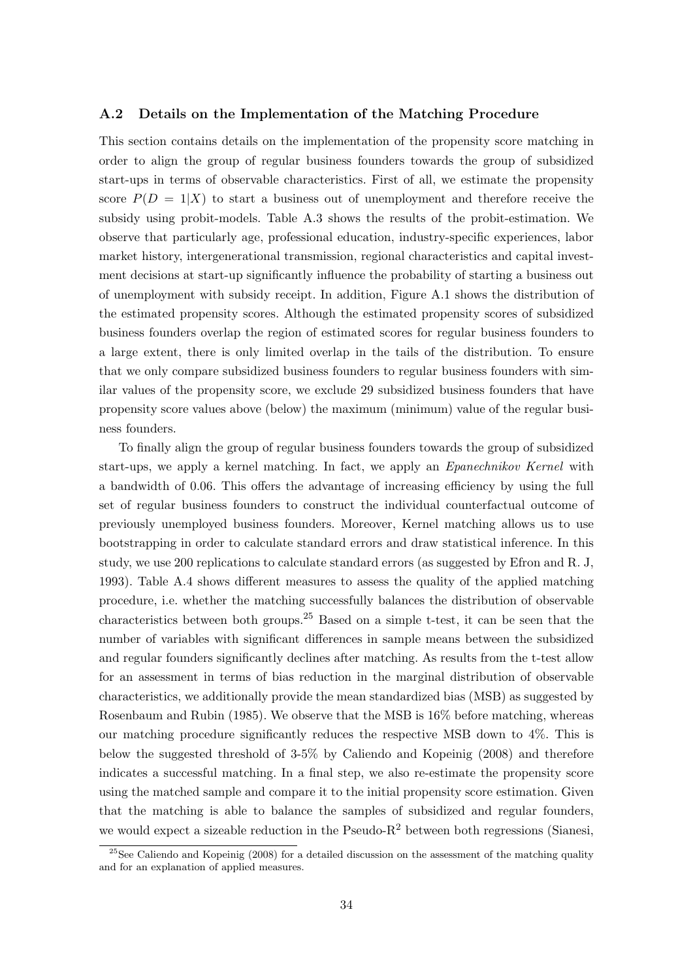#### A.2 Details on the Implementation of the Matching Procedure

This section contains details on the implementation of the propensity score matching in order to align the group of regular business founders towards the group of subsidized start-ups in terms of observable characteristics. First of all, we estimate the propensity score  $P(D = 1|X)$  to start a business out of unemployment and therefore receive the subsidy using probit-models. Table A.3 shows the results of the probit-estimation. We observe that particularly age, professional education, industry-specific experiences, labor market history, intergenerational transmission, regional characteristics and capital investment decisions at start-up significantly influence the probability of starting a business out of unemployment with subsidy receipt. In addition, Figure A.1 shows the distribution of the estimated propensity scores. Although the estimated propensity scores of subsidized business founders overlap the region of estimated scores for regular business founders to a large extent, there is only limited overlap in the tails of the distribution. To ensure that we only compare subsidized business founders to regular business founders with similar values of the propensity score, we exclude 29 subsidized business founders that have propensity score values above (below) the maximum (minimum) value of the regular business founders.

To finally align the group of regular business founders towards the group of subsidized start-ups, we apply a kernel matching. In fact, we apply an Epanechnikov Kernel with a bandwidth of 0.06. This offers the advantage of increasing efficiency by using the full set of regular business founders to construct the individual counterfactual outcome of previously unemployed business founders. Moreover, Kernel matching allows us to use bootstrapping in order to calculate standard errors and draw statistical inference. In this study, we use 200 replications to calculate standard errors (as suggested by Efron and R. J, 1993). Table A.4 shows different measures to assess the quality of the applied matching procedure, i.e. whether the matching successfully balances the distribution of observable characteristics between both groups.<sup>25</sup> Based on a simple t-test, it can be seen that the number of variables with significant differences in sample means between the subsidized and regular founders significantly declines after matching. As results from the t-test allow for an assessment in terms of bias reduction in the marginal distribution of observable characteristics, we additionally provide the mean standardized bias (MSB) as suggested by Rosenbaum and Rubin (1985). We observe that the MSB is 16% before matching, whereas our matching procedure significantly reduces the respective MSB down to 4%. This is below the suggested threshold of 3-5% by Caliendo and Kopeinig (2008) and therefore indicates a successful matching. In a final step, we also re-estimate the propensity score using the matched sample and compare it to the initial propensity score estimation. Given that the matching is able to balance the samples of subsidized and regular founders, we would expect a sizeable reduction in the Pseudo- $R^2$  between both regressions (Sianesi,

 $^{25}$ See Caliendo and Kopeinig (2008) for a detailed discussion on the assessment of the matching quality and for an explanation of applied measures.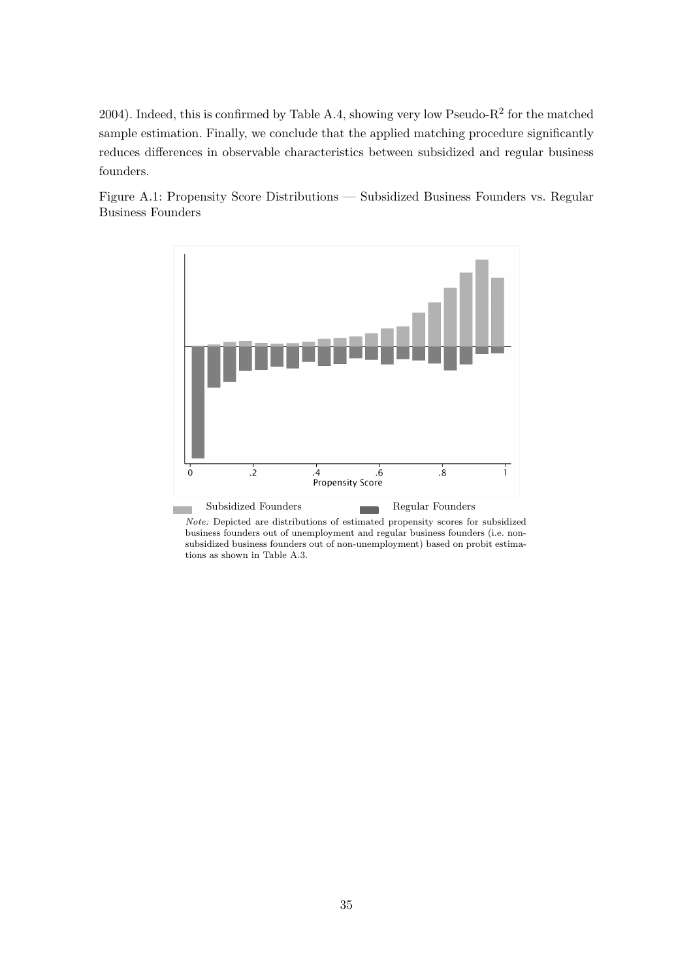2004). Indeed, this is confirmed by Table A.4, showing very low Pseudo- $R^2$  for the matched sample estimation. Finally, we conclude that the applied matching procedure significantly reduces differences in observable characteristics between subsidized and regular business founders.

Figure A.1: Propensity Score Distributions — Subsidized Business Founders vs. Regular Business Founders



Note: Depicted are distributions of estimated propensity scores for subsidized business founders out of unemployment and regular business founders (i.e. nonsubsidized business founders out of non-unemployment) based on probit estimations as shown in Table A.3.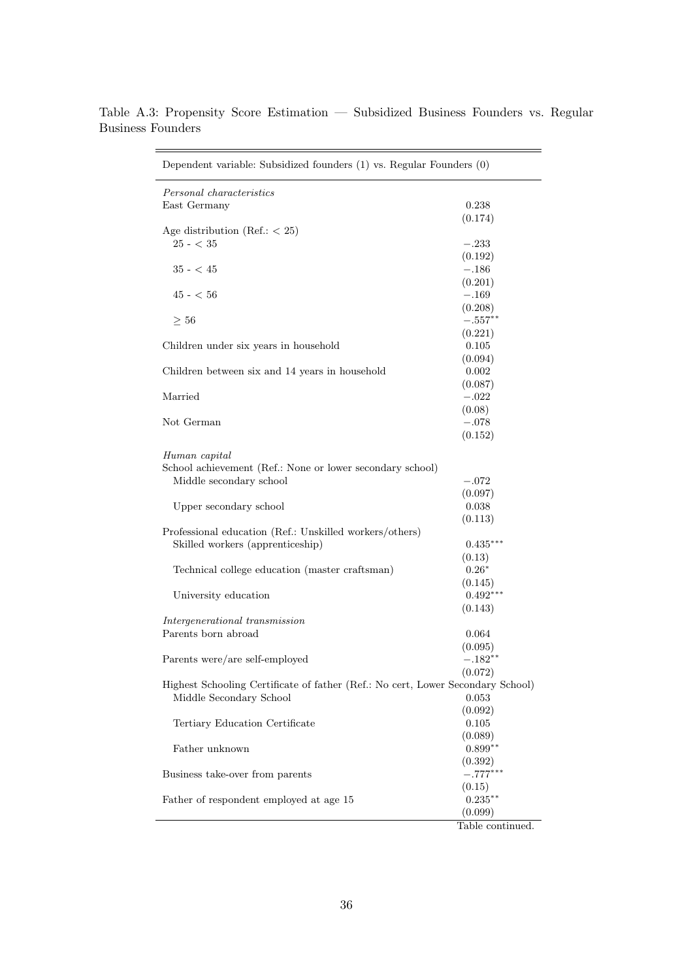| Dependent variable: Subsidized founders (1) vs. Regular Founders (0)            |                       |
|---------------------------------------------------------------------------------|-----------------------|
| Personal characteristics                                                        |                       |
| East Germany                                                                    | 0.238                 |
|                                                                                 | (0.174)               |
| Age distribution (Ref.: $<$ 25)                                                 |                       |
| $25 - < 35$                                                                     | $-.233$               |
|                                                                                 | (0.192)               |
| $35 - 45$                                                                       | $-.186$               |
|                                                                                 | (0.201)               |
| $45$ - $<\,56$                                                                  | $-.169$               |
|                                                                                 | (0.208)               |
| $\geq 56$                                                                       | $-.557**$             |
|                                                                                 | (0.221)               |
| Children under six years in household                                           | 0.105                 |
|                                                                                 | (0.094)               |
| Children between six and 14 years in household                                  | 0.002                 |
|                                                                                 | (0.087)               |
| Married                                                                         | $-.022$               |
|                                                                                 | (0.08)<br>$-.078$     |
| Not German                                                                      |                       |
|                                                                                 | (0.152)               |
| Human capital                                                                   |                       |
| School achievement (Ref.: None or lower secondary school)                       |                       |
| Middle secondary school                                                         | $-.072$               |
|                                                                                 | (0.097)               |
| Upper secondary school                                                          | 0.038                 |
|                                                                                 | (0.113)               |
| Professional education (Ref.: Unskilled workers/others)                         |                       |
| Skilled workers (apprenticeship)                                                | $0.435***$            |
|                                                                                 | (0.13)                |
| Technical college education (master craftsman)                                  | $0.26*$               |
|                                                                                 | (0.145)               |
| University education                                                            | $0.492***$            |
|                                                                                 | (0.143)               |
| Intergenerational transmission                                                  |                       |
| Parents born abroad                                                             | 0.064                 |
|                                                                                 | (0.095)               |
| Parents were/are self-employed                                                  | $-.182**$             |
|                                                                                 | (0.072)               |
| Highest Schooling Certificate of father (Ref.: No cert, Lower Secondary School) |                       |
| Middle Secondary School                                                         | 0.053                 |
|                                                                                 | (0.092)               |
| Tertiary Education Certificate                                                  | 0.105                 |
| Father unknown                                                                  | (0.089)<br>$0.899**$  |
|                                                                                 |                       |
| Business take-over from parents                                                 | (0.392)<br>$-.777***$ |
|                                                                                 | (0.15)                |
| Father of respondent employed at age 15                                         | $0.235***$            |
|                                                                                 | (0.099)               |
|                                                                                 | Table continued.      |

Table A.3: Propensity Score Estimation — Subsidized Business Founders vs. Regular Business Founders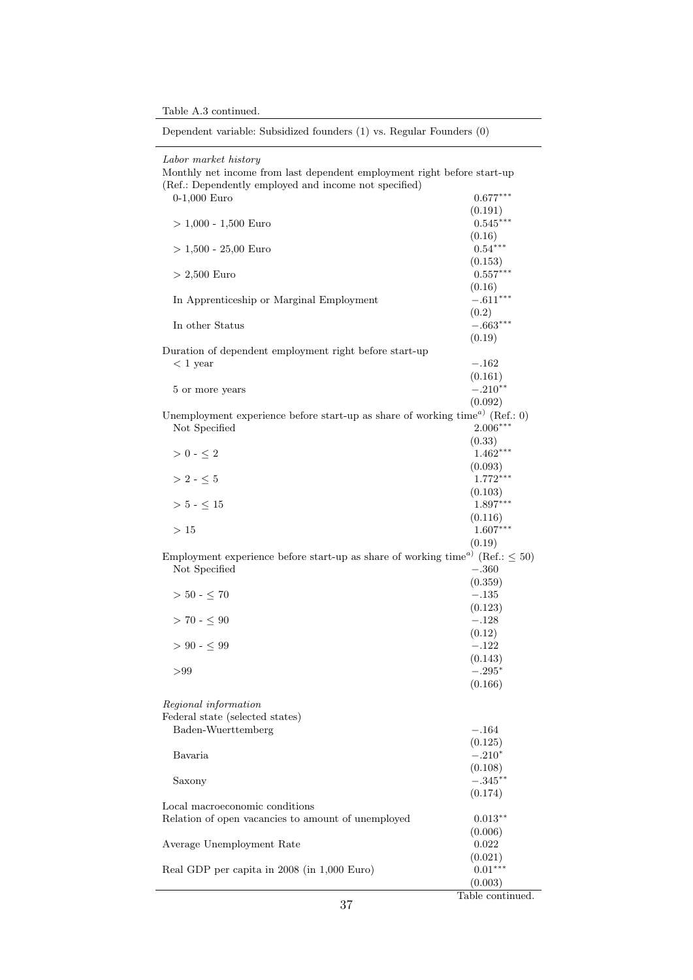Table A.3 continued.

|                                                                                                        | Table continued.      |
|--------------------------------------------------------------------------------------------------------|-----------------------|
|                                                                                                        | (0.003)               |
| Real GDP per capita in 2008 (in 1,000 Euro)                                                            | $0.01***$             |
|                                                                                                        | (0.021)               |
| Average Unemployment Rate                                                                              | 0.022                 |
|                                                                                                        | (0.006)               |
| Local macroeconomic conditions<br>Relation of open vacancies to amount of unemployed                   | $0.013***$            |
|                                                                                                        | (0.174)               |
| Saxony                                                                                                 | $-.345***$            |
|                                                                                                        | (0.108)               |
| Bavaria                                                                                                | $-.210*$              |
|                                                                                                        | (0.125)               |
| Baden-Wuerttemberg                                                                                     | $-.164$               |
| Regional information<br>Federal state (selected states)                                                |                       |
|                                                                                                        |                       |
|                                                                                                        | (0.166)               |
| $>\!\!99$                                                                                              | $-.295*$              |
|                                                                                                        | (0.143)               |
| $> 90 - 5.99$                                                                                          | $-.122$               |
| $> 70 - 5.90$                                                                                          | $-.128$<br>(0.12)     |
|                                                                                                        | (0.123)               |
| $> 50 - \leq 70$                                                                                       | $-.135$               |
|                                                                                                        | (0.359)               |
| Not Specified                                                                                          | $-.360$               |
| Employment experience before start-up as share of working time <sup><i>a</i>)</sup> (Ref.: $\leq 50$ ) |                       |
|                                                                                                        | (0.19)                |
| >15                                                                                                    | $1.607***$            |
|                                                                                                        | (0.116)               |
| $>$ 5 - $\leq$ 15                                                                                      | $1.897***$            |
|                                                                                                        | (0.103)               |
| $> 2 - \leq 5$                                                                                         | (0.093)<br>$1.772***$ |
| $> 0 - \leq 2$                                                                                         | $1.462***$            |
|                                                                                                        | (0.33)                |
| Not Specified                                                                                          | $2.006***$            |
| Unemployment experience before start-up as share of working time <sup><math>a)</math></sup> (Ref.: 0)  |                       |
|                                                                                                        | (0.092)               |
| 5 or more years                                                                                        | $-.210**$             |
|                                                                                                        | (0.161)               |
| $< 1$ year                                                                                             | $-.162$               |
| Duration of dependent employment right before start-up                                                 | (0.19)                |
| In other Status                                                                                        | $-.663***$            |
|                                                                                                        | (0.2)                 |
| In Apprenticeship or Marginal Employment                                                               | $-.611***$            |
|                                                                                                        | (0.16)                |
| $> 2,500$ Euro                                                                                         | $0.557***$            |
|                                                                                                        | (0.153)               |
| $> 1,500 - 25,00$ Euro                                                                                 | (0.16)<br>$0.54***$   |
| $> 1,000 - 1,500$ Euro                                                                                 | $0.545***$            |
|                                                                                                        | (0.191)               |
| $0-1,000$ Euro                                                                                         | $0.677***$            |
| (Ref.: Dependently employed and income not specified)                                                  |                       |
| Labor market history<br>Monthly net income from last dependent employment right before start-up        |                       |
|                                                                                                        |                       |

Dependent variable: Subsidized founders (1) vs. Regular Founders (0)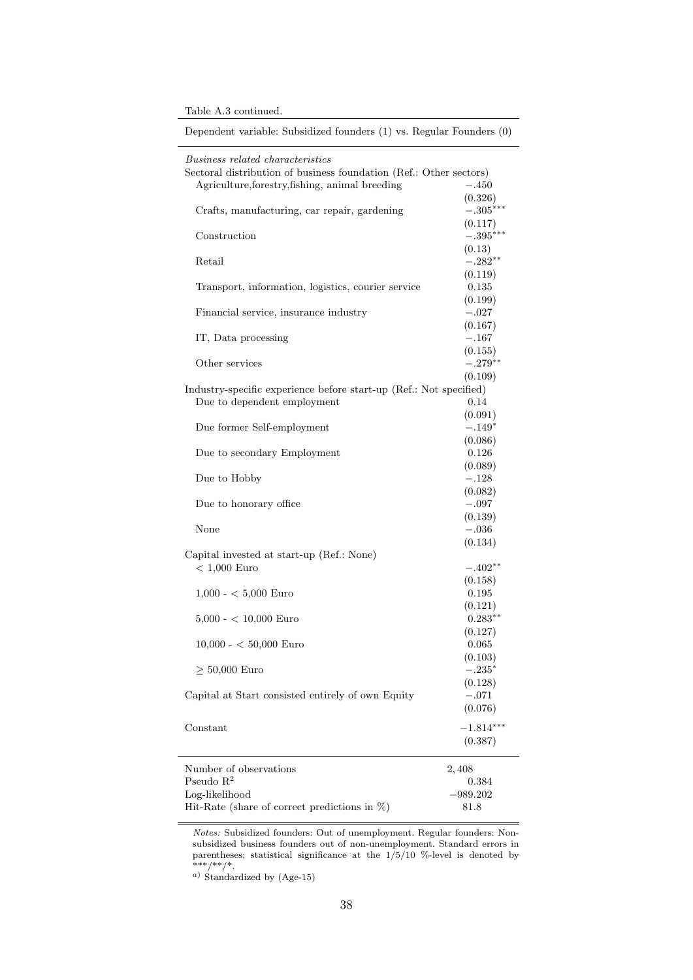| Table A.3 continued. |  |
|----------------------|--|
|----------------------|--|

| Dependent variable: Subsidized founders (1) vs. Regular Founders (0) |             |  |
|----------------------------------------------------------------------|-------------|--|
| Business related characteristics                                     |             |  |
| Sectoral distribution of business foundation (Ref.: Other sectors)   |             |  |
| Agriculture, forestry, fishing, animal breeding                      | $-.450$     |  |
|                                                                      | (0.326)     |  |
| Crafts, manufacturing, car repair, gardening                         | $-.305***$  |  |
|                                                                      | (0.117)     |  |
| Construction                                                         | $-.395***$  |  |
|                                                                      | (0.13)      |  |
| Retail                                                               | $-.282**$   |  |
|                                                                      | (0.119)     |  |
| Transport, information, logistics, courier service                   | 0.135       |  |
|                                                                      | (0.199)     |  |
| Financial service, insurance industry                                | $-.027$     |  |
|                                                                      | (0.167)     |  |
| IT, Data processing                                                  | $-.167$     |  |
|                                                                      | (0.155)     |  |
| Other services                                                       | $-.279**$   |  |
|                                                                      | (0.109)     |  |
| Industry-specific experience before start-up (Ref.: Not specified)   |             |  |
| Due to dependent employment                                          | 0.14        |  |
|                                                                      | (0.091)     |  |
| Due former Self-employment                                           | $-.149*$    |  |
|                                                                      | (0.086)     |  |
| Due to secondary Employment                                          | 0.126       |  |
|                                                                      | (0.089)     |  |
| Due to Hobby                                                         | $-.128$     |  |
|                                                                      | (0.082)     |  |
| Due to honorary office                                               | $-.097$     |  |
|                                                                      | (0.139)     |  |
| None                                                                 | $-.036$     |  |
|                                                                      | (0.134)     |  |
| Capital invested at start-up (Ref.: None)                            |             |  |
| $< 1,000$ Euro                                                       | $-.402**$   |  |
|                                                                      | (0.158)     |  |
| $1,000 - 5,000$ Euro                                                 | 0.195       |  |
|                                                                      | (0.121)     |  |
| $5,000 - < 10,000$ Euro                                              | $0.283**$   |  |
|                                                                      | (0.127)     |  |
| $10,000 - 50,000$ Euro                                               | 0.065       |  |
|                                                                      | (0.103)     |  |
| $\geq 50,000$ Euro                                                   | $-.235*$    |  |
|                                                                      | (0.128)     |  |
| Capital at Start consisted entirely of own Equity                    | $-.071$     |  |
|                                                                      | (0.076)     |  |
| Constant                                                             | $-1.814***$ |  |
|                                                                      | (0.387)     |  |
|                                                                      |             |  |
| Number of observations                                               | 2,408       |  |
| Pseudo $R^2$                                                         | 0.384       |  |
| Log-likelihood                                                       | $-989.202$  |  |
| Hit-Rate (share of correct predictions in $\%$ )                     | 81.8        |  |
|                                                                      |             |  |

Notes: Subsidized founders: Out of unemployment. Regular founders: Nonsubsidized business founders out of non-unemployment. Standard errors in parentheses; statistical significance at the 1/5/10 %-level is denoted by \*\*\*/\*\*/\*.

<sup>a</sup>) Standardized by (Age-15)